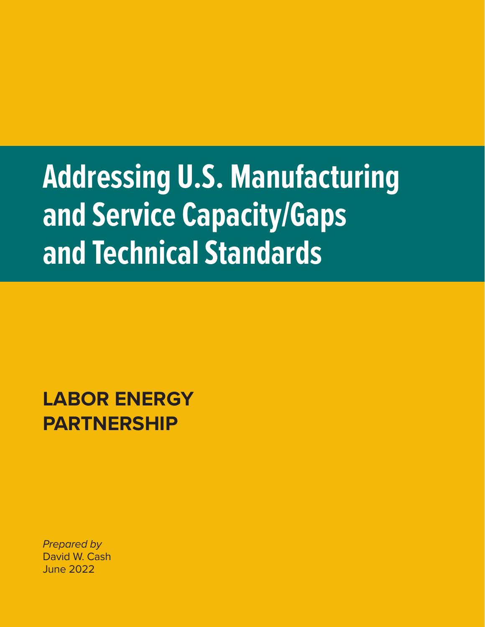# **Addressing U.S. Manufacturing and Service Capacity/Gaps and Technical Standards**

**LABOR ENERGY PARTNERSHIP** 

*Prepared by*  David W. Cash June 2022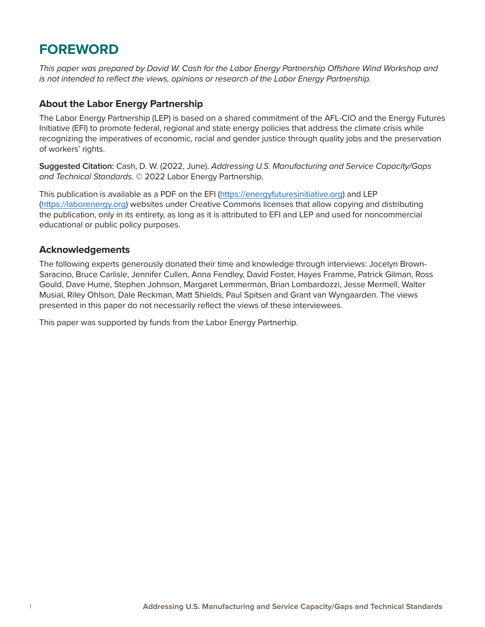### **FOREWORD**

*This paper was prepared by David W. Cash for the Labor Energy Partnership Offshore Wind Workshop and is not intended to reflect the views, opinions or research of the Labor Energy Partnership.*

#### **About the Labor Energy Partnership**

The Labor Energy Partnership (LEP) is based on a shared commitment of the AFL-CIO and the Energy Futures Initiative (EFI) to promote federal, regional and state energy policies that address the climate crisis while recognizing the imperatives of economic, racial and gender justice through quality jobs and the preservation of workers' rights.

**Suggested Citation:** Cash, D. W. (2022, June). *Addressing U.S. Manufacturing and Service Capacity/Gaps and Technical Standards*. © 2022 Labor Energy Partnership.

This publication is available as a PDF on the EFI [\(https://energyfuturesinitiative.org\)]((https://energyfuturesinitiative.org) and LEP [\(https://laborenergy.org\)](https://laborenergy.org) websites under Creative Commons licenses that allow copying and distributing the publication, only in its entirety, as long as it is attributed to EFI and LEP and used for noncommercial educational or public policy purposes.

#### **Acknowledgements**

The following experts generously donated their time and knowledge through interviews: Jocelyn Brown-Saracino, Bruce Carlisle, Jennifer Cullen, Anna Fendley, David Foster, Hayes Framme, Patrick Gilman, Ross Gould, Dave Hume, Stephen Johnson, Margaret Lemmerman, Brian Lombardozzi, Jesse Mermell, Walter Musial, Riley Ohlson, Dale Reckman, Matt Shields, Paul Spitsen and Grant van Wyngaarden. The views presented in this paper do not necessarily reflect the views of these interviewees.

This paper was supported by funds from the Labor Energy Partnerhip.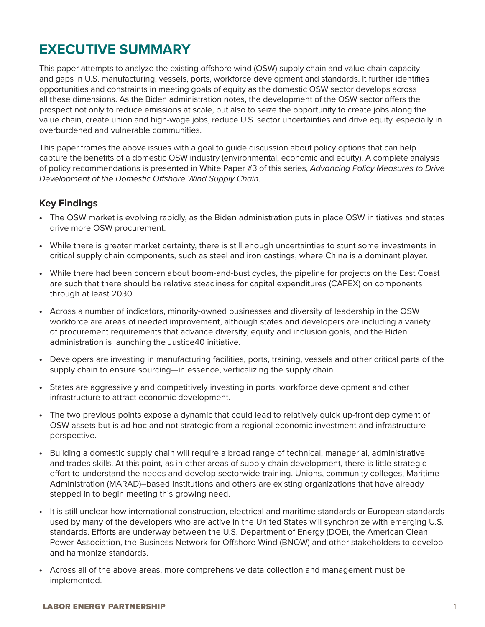### **EXECUTIVE SUMMARY**

This paper attempts to analyze the existing offshore wind (OSW) supply chain and value chain capacity and gaps in U.S. manufacturing, vessels, ports, workforce development and standards. It further identifies opportunities and constraints in meeting goals of equity as the domestic OSW sector develops across all these dimensions. As the Biden administration notes, the development of the OSW sector offers the prospect not only to reduce emissions at scale, but also to seize the opportunity to create jobs along the value chain, create union and high-wage jobs, reduce U.S. sector uncertainties and drive equity, especially in overburdened and vulnerable communities.

This paper frames the above issues with a goal to guide discussion about policy options that can help capture the benefits of a domestic OSW industry (environmental, economic and equity). A complete analysis of policy recommendations is presented in White Paper #3 of this series, *Advancing Policy Measures to Drive Development of the Domestic Offshore Wind Supply Chain*.

#### **Key Findings**

- The OSW market is evolving rapidly, as the Biden administration puts in place OSW initiatives and states drive more OSW procurement.
- While there is greater market certainty, there is still enough uncertainties to stunt some investments in critical supply chain components, such as steel and iron castings, where China is a dominant player.
- While there had been concern about boom-and-bust cycles, the pipeline for projects on the East Coast are such that there should be relative steadiness for capital expenditures (CAPEX) on components through at least 2030.
- Across a number of indicators, minority-owned businesses and diversity of leadership in the OSW workforce are areas of needed improvement, although states and developers are including a variety of procurement requirements that advance diversity, equity and inclusion goals, and the Biden administration is launching the Justice40 initiative.
- Developers are investing in manufacturing facilities, ports, training, vessels and other critical parts of the supply chain to ensure sourcing—in essence, verticalizing the supply chain.
- States are aggressively and competitively investing in ports, workforce development and other infrastructure to attract economic development.
- The two previous points expose a dynamic that could lead to relatively quick up-front deployment of OSW assets but is ad hoc and not strategic from a regional economic investment and infrastructure perspective.
- Building a domestic supply chain will require a broad range of technical, managerial, administrative and trades skills. At this point, as in other areas of supply chain development, there is little strategic effort to understand the needs and develop sectorwide training. Unions, community colleges, Maritime Administration (MARAD)–based institutions and others are existing organizations that have already stepped in to begin meeting this growing need.
- It is still unclear how international construction, electrical and maritime standards or European standards used by many of the developers who are active in the United States will synchronize with emerging U.S. standards. Efforts are underway between the U.S. Department of Energy (DOE), the American Clean Power Association, the Business Network for Offshore Wind (BNOW) and other stakeholders to develop and harmonize standards.
- Across all of the above areas, more comprehensive data collection and management must be implemented.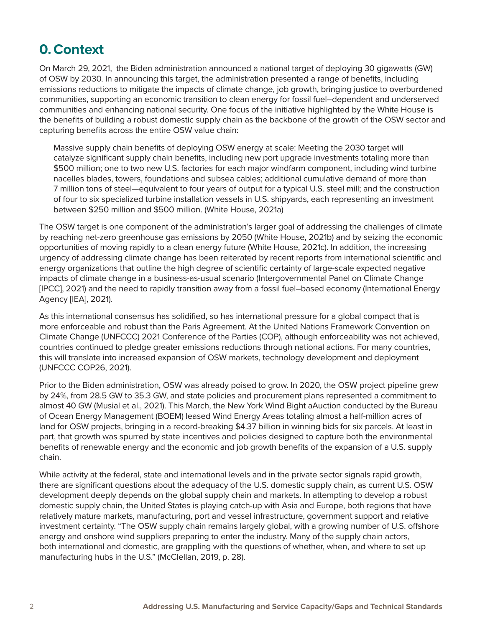### **0.Context**

On March 29, 2021, the Biden administration announced a national target of deploying 30 gigawatts (GW) of OSW by 2030. In announcing this target, the administration presented a range of benefits, including emissions reductions to mitigate the impacts of climate change, job growth, bringing justice to overburdened communities, supporting an economic transition to clean energy for fossil fuel–dependent and underserved communities and enhancing national security. One focus of the initiative highlighted by the White House is the benefits of building a robust domestic supply chain as the backbone of the growth of the OSW sector and capturing benefits across the entire OSW value chain:

Massive supply chain benefits of deploying OSW energy at scale: Meeting the 2030 target will catalyze significant supply chain benefits, including new port upgrade investments totaling more than \$500 million; one to two new U.S. factories for each major windfarm component, including wind turbine nacelles blades, towers, foundations and subsea cables; additional cumulative demand of more than 7 million tons of steel—equivalent to four years of output for a typical U.S. steel mill; and the construction of four to six specialized turbine installation vessels in U.S. shipyards, each representing an investment between \$250 million and \$500 million. (White House, 2021a)

The OSW target is one component of the administration's larger goal of addressing the challenges of climate by reaching net-zero greenhouse gas emissions by 2050 (White House, 2021b) and by seizing the economic opportunities of moving rapidly to a clean energy future (White House, 2021c). In addition, the increasing urgency of addressing climate change has been reiterated by recent reports from international scientific and energy organizations that outline the high degree of scientific certainty of large-scale expected negative impacts of climate change in a business-as-usual scenario (Intergovernmental Panel on Climate Change [IPCC], 2021) and the need to rapidly transition away from a fossil fuel–based economy (International Energy Agency [IEA], 2021).

As this international consensus has solidified, so has international pressure for a global compact that is more enforceable and robust than the Paris Agreement. At the United Nations Framework Convention on Climate Change (UNFCCC) 2021 Conference of the Parties (COP), although enforceability was not achieved, countries continued to pledge greater emissions reductions through national actions. For many countries, this will translate into increased expansion of OSW markets, technology development and deployment (UNFCCC COP26, 2021).

Prior to the Biden administration, OSW was already poised to grow. In 2020, the OSW project pipeline grew by 24%, from 28.5 GW to 35.3 GW, and state policies and procurement plans represented a commitment to almost 40 GW (Musial et al., 2021). This March, the New York Wind Bight aAuction conducted by the Bureau of Ocean Energy Management (BOEM) leased Wind Energy Areas totaling almost a half-million acres of land for OSW projects, bringing in a record-breaking \$4.37 billion in winning bids for six parcels. At least in part, that growth was spurred by state incentives and policies designed to capture both the environmental benefits of renewable energy and the economic and job growth benefits of the expansion of a U.S. supply chain.

While activity at the federal, state and international levels and in the private sector signals rapid growth, there are significant questions about the adequacy of the U.S. domestic supply chain, as current U.S. OSW development deeply depends on the global supply chain and markets. In attempting to develop a robust domestic supply chain, the United States is playing catch-up with Asia and Europe, both regions that have relatively mature markets, manufacturing, port and vessel infrastructure, government support and relative investment certainty. "The OSW supply chain remains largely global, with a growing number of U.S. offshore energy and onshore wind suppliers preparing to enter the industry. Many of the supply chain actors, both international and domestic, are grappling with the questions of whether, when, and where to set up manufacturing hubs in the U.S." (McClellan, 2019, p. 28).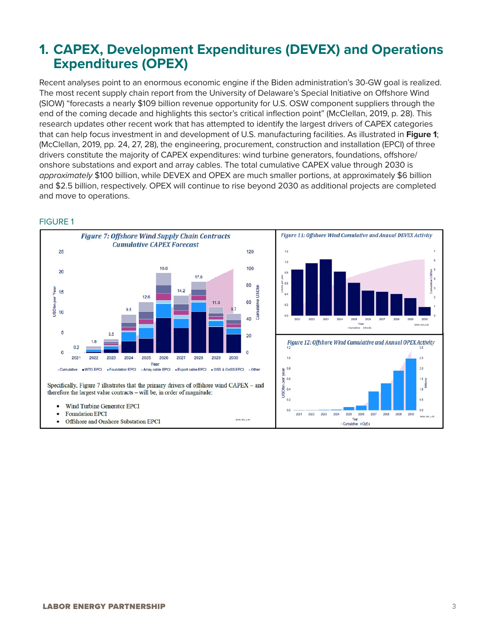### **1. CAPEX, Development Expenditures (DEVEX) and Operations Expenditures (OPEX)**

Recent analyses point to an enormous economic engine if the Biden administration's 30-GW goal is realized. The most recent supply chain report from the University of Delaware's Special Initiative on Offshore Wind (SIOW) "forecasts a nearly \$109 billion revenue opportunity for U.S. OSW component suppliers through the end of the coming decade and highlights this sector's critical inflection point" (McClellan, 2019, p. 28). This research updates other recent work that has attempted to identify the largest drivers of CAPEX categories that can help focus investment in and development of U.S. manufacturing facilities. As illustrated in **Figure 1**; (McClellan, 2019, pp. 24, 27, 28), the engineering, procurement, construction and installation (EPCI) of three drivers constitute the majority of CAPEX expenditures: wind turbine generators, foundations, offshore/ onshore substations and export and array cables. The total cumulative CAPEX value through 2030 is *approximately* \$100 billion, while DEVEX and OPEX are much smaller portions, at approximately \$6 billion and \$2.5 billion, respectively. OPEX will continue to rise beyond 2030 as additional projects are completed and move to operations.



#### FIGURE 1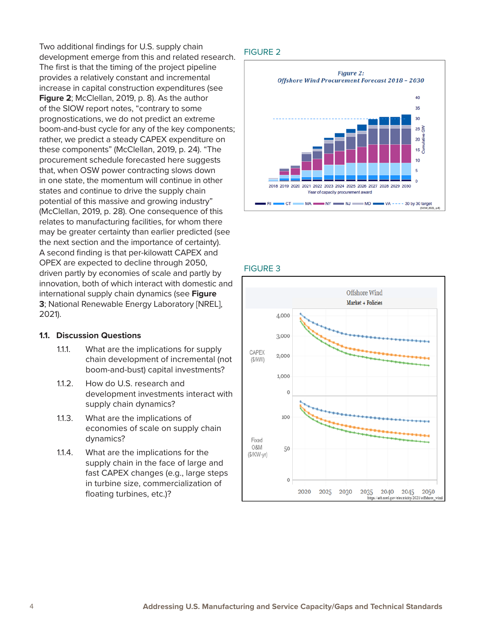Two additional findings for U.S. supply chain development emerge from this and related research. The first is that the timing of the project pipeline provides a relatively constant and incremental increase in capital construction expenditures (see **Figure 2**; McClellan, 2019, p. 8). As the author of the SIOW report notes, "contrary to some prognostications, we do not predict an extreme boom-and-bust cycle for any of the key components; rather, we predict a steady CAPEX expenditure on these components" (McClellan, 2019, p. 24). "The procurement schedule forecasted here suggests that, when OSW power contracting slows down in one state, the momentum will continue in other states and continue to drive the supply chain potential of this massive and growing industry" (McClellan, 2019, p. 28). One consequence of this relates to manufacturing facilities, for whom there may be greater certainty than earlier predicted (see the next section and the importance of certainty). A second finding is that per-kilowatt CAPEX and OPEX are expected to decline through 2050, driven partly by economies of scale and partly by innovation, both of which interact with domestic and international supply chain dynamics (see **Figure 3**; National Renewable Energy Laboratory [NREL], 2021).

#### **1.1. Discussion Questions**

- 1.1.1. What are the implications for supply chain development of incremental (not boom-and-bust) capital investments?
- 1.1.2. How do U.S. research and development investments interact with supply chain dynamics?
- 1.1.3. What are the implications of economies of scale on supply chain dynamics?
- 1.1.4. What are the implications for the supply chain in the face of large and fast CAPEX changes (e.g., large steps in turbine size, commercialization of floating turbines, etc.)?

#### FIGURE 2



#### FIGURE 3

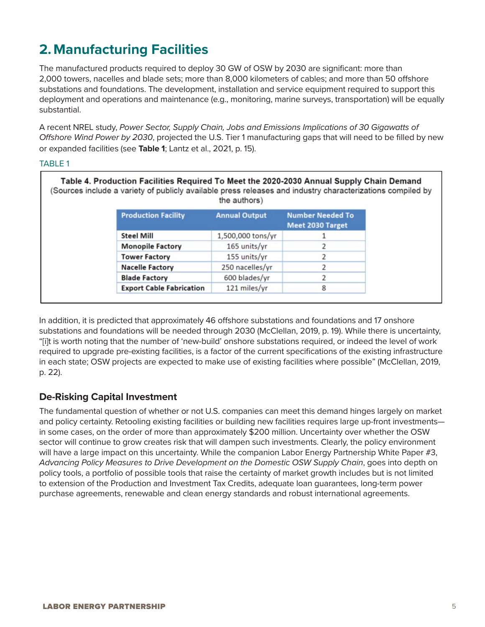## **2. Manufacturing Facilities**

The manufactured products required to deploy 30 GW of OSW by 2030 are significant: more than 2,000 towers, nacelles and blade sets; more than 8,000 kilometers of cables; and more than 50 offshore substations and foundations. The development, installation and service equipment required to support this deployment and operations and maintenance (e.g., monitoring, marine surveys, transportation) will be equally substantial.

A recent NREL study, *Power Sector, Supply Chain, Jobs and Emissions Implications of 30 Gigawatts of Offshore Wind Power by 2030*, projected the U.S. Tier 1 manufacturing gaps that will need to be filled by new or expanded facilities (see **Table 1**; Lantz et al., 2021, p. 15).

#### TABLE 1

| Table 4. Production Facilities Required To Meet the 2020-2030 Annual Supply Chain Demand<br>(Sources include a variety of publicly available press releases and industry characterizations compiled by | the authors)         |                                                    |
|--------------------------------------------------------------------------------------------------------------------------------------------------------------------------------------------------------|----------------------|----------------------------------------------------|
| <b>Production Facility</b>                                                                                                                                                                             | <b>Annual Output</b> | <b>Number Needed To</b><br><b>Meet 2030 Target</b> |
| <b>Steel Mill</b>                                                                                                                                                                                      | 1,500,000 tons/yr    |                                                    |
| <b>Monopile Factory</b>                                                                                                                                                                                | 165 units/yr         |                                                    |
| <b>Tower Factory</b>                                                                                                                                                                                   | 155 units/yr         |                                                    |
| <b>Nacelle Factory</b>                                                                                                                                                                                 | 250 nacelles/yr      |                                                    |
| <b>Blade Factory</b>                                                                                                                                                                                   | 600 blades/yr        |                                                    |
| <b>Export Cable Fabrication</b>                                                                                                                                                                        | 121 miles/yr         | 8                                                  |

In addition, it is predicted that approximately 46 offshore substations and foundations and 17 onshore substations and foundations will be needed through 2030 (McClellan, 2019, p. 19). While there is uncertainty, "[i]t is worth noting that the number of 'new-build' onshore substations required, or indeed the level of work required to upgrade pre-existing facilities, is a factor of the current specifications of the existing infrastructure in each state; OSW projects are expected to make use of existing facilities where possible" (McClellan, 2019, p. 22).

#### **De-Risking Capital Investment**

The fundamental question of whether or not U.S. companies can meet this demand hinges largely on market and policy certainty. Retooling existing facilities or building new facilities requires large up-front investments in some cases, on the order of more than approximately \$200 million. Uncertainty over whether the OSW sector will continue to grow creates risk that will dampen such investments. Clearly, the policy environment will have a large impact on this uncertainty. While the companion Labor Energy Partnership White Paper #3, *Advancing Policy Measures to Drive Development on the Domestic OSW Supply Chain*, goes into depth on policy tools, a portfolio of possible tools that raise the certainty of market growth includes but is not limited to extension of the Production and Investment Tax Credits, adequate loan guarantees, long-term power purchase agreements, renewable and clean energy standards and robust international agreements.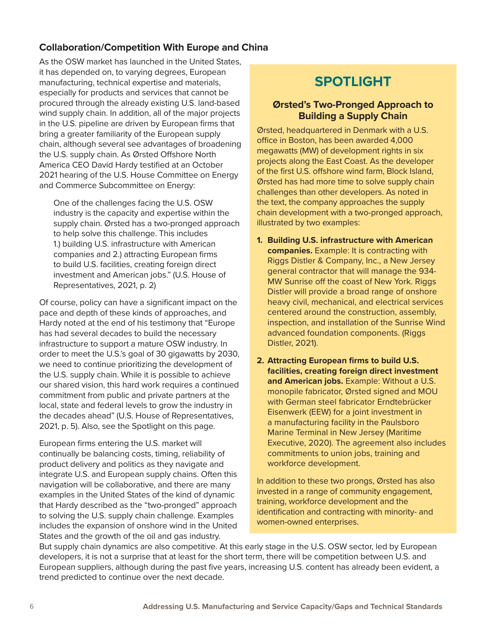### **Collaboration/Competition With Europe and China**

As the OSW market has launched in the United States, it has depended on, to varying degrees, European manufacturing, technical expertise and materials, especially for products and services that cannot be procured through the already existing U.S. land-based wind supply chain. In addition, all of the major projects in the U.S. pipeline are driven by European firms that bring a greater familiarity of the European supply chain, although several see advantages of broadening the U.S. supply chain. As Ørsted Offshore North America CEO David Hardy testified at an October 2021 hearing of the U.S. House Committee on Energy and Commerce Subcommittee on Energy:

One of the challenges facing the U.S. OSW industry is the capacity and expertise within the supply chain. Ørsted has a two-pronged approach to help solve this challenge. This includes 1.) building U.S. infrastructure with American companies and 2.) attracting European firms to build U.S. facilities, creating foreign direct investment and American jobs." (U.S. House of Representatives, 2021, p. 2)

Of course, policy can have a significant impact on the pace and depth of these kinds of approaches, and Hardy noted at the end of his testimony that "Europe has had several decades to build the necessary infrastructure to support a mature OSW industry. In order to meet the U.S.'s goal of 30 gigawatts by 2030, we need to continue prioritizing the development of the U.S. supply chain. While it is possible to achieve our shared vision, this hard work requires a continued commitment from public and private partners at the local, state and federal levels to grow the industry in the decades ahead" (U.S. House of Representatives, 2021, p. 5). Also, see the Spotlight on this page.

European firms entering the U.S. market will continually be balancing costs, timing, reliability of product delivery and politics as they navigate and integrate U.S. and European supply chains. Often this navigation will be collaborative, and there are many examples in the United States of the kind of dynamic that Hardy described as the "two-pronged" approach to solving the U.S. supply chain challenge. Examples includes the expansion of onshore wind in the United States and the growth of the oil and gas industry.

### **SPOTLIGHT**

#### **Ørsted's Two-Pronged Approach to Building a Supply Chain**

Ørsted, headquartered in Denmark with a U.S. office in Boston, has been awarded 4,000 megawatts (MW) of development rights in six projects along the East Coast. As the developer of the first U.S. offshore wind farm, Block Island, Ørsted has had more time to solve supply chain challenges than other developers. As noted in the text, the company approaches the supply chain development with a two-pronged approach, illustrated by two examples:

- **1. Building U.S. infrastructure with American companies.** Example: It is contracting with Riggs Distler & Company, Inc., a New Jersey general contractor that will manage the 934- MW Sunrise off the coast of New York. Riggs Distler will provide a broad range of onshore heavy civil, mechanical, and electrical services centered around the construction, assembly, inspection, and installation of the Sunrise Wind advanced foundation components. (Riggs Distler, 2021).
- **2. Attracting European firms to build U.S. facilities, creating foreign direct investment and American jobs.** Example: Without a U.S. monopile fabricator, Ørsted signed and MOU with German steel fabricator Erndtebrücker Eisenwerk (EEW) for a joint investment in a manufacturing facility in the Paulsboro Marine Terminal in New Jersey (Maritime Executive, 2020). The agreement also includes commitments to union jobs, training and workforce development.

In addition to these two prongs, Ørsted has also invested in a range of community engagement, training, workforce development and the identification and contracting with minority- and women-owned enterprises.

But supply chain dynamics are also competitive. At this early stage in the U.S. OSW sector, led by European developers, it is not a surprise that at least for the short term, there will be competition between U.S. and European suppliers, although during the past five years, increasing U.S. content has already been evident, a trend predicted to continue over the next decade.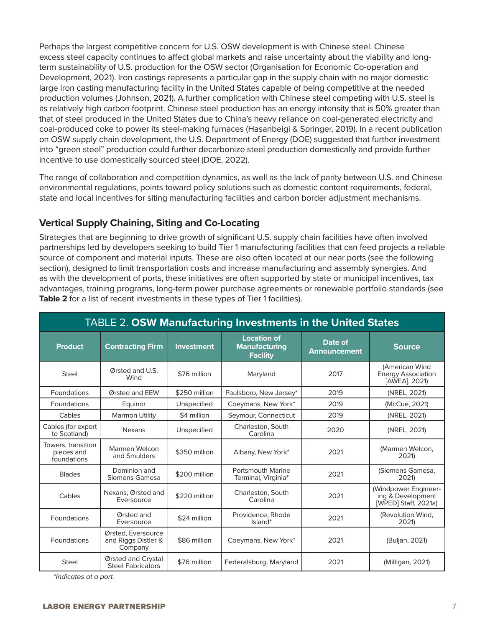Perhaps the largest competitive concern for U.S. OSW development is with Chinese steel. Chinese excess steel capacity continues to affect global markets and raise uncertainty about the viability and longterm sustainability of U.S. production for the OSW sector (Organisation for Economic Co-operation and Development, 2021). Iron castings represents a particular gap in the supply chain with no major domestic large iron casting manufacturing facility in the United States capable of being competitive at the needed production volumes (Johnson, 2021). A further complication with Chinese steel competing with U.S. steel is its relatively high carbon footprint. Chinese steel production has an energy intensity that is 50% greater than that of steel produced in the United States due to China's heavy reliance on coal-generated electricity and coal-produced coke to power its steel-making furnaces (Hasanbeigi & Springer, 2019). In a recent publication on OSW supply chain development, the U.S. Department of Energy (DOE) suggested that further investment into "green steel" production could further decarbonize steel production domestically and provide further incentive to use domestically sourced steel (DOE, 2022).

The range of collaboration and competition dynamics, as well as the lack of parity between U.S. and Chinese environmental regulations, points toward policy solutions such as domestic content requirements, federal, state and local incentives for siting manufacturing facilities and carbon border adjustment mechanisms.

#### **Vertical Supply Chaining, Siting and Co-Locating**

Strategies that are beginning to drive growth of significant U.S. supply chain facilities have often involved partnerships led by developers seeking to build Tier 1 manufacturing facilities that can feed projects a reliable source of component and material inputs. These are also often located at our near ports (see the following section), designed to limit transportation costs and increase manufacturing and assembly synergies. And as with the development of ports, these initiatives are often supported by state or municipal incentives, tax advantages, training programs, long-term power purchase agreements or renewable portfolio standards (see **Table 2** for a list of recent investments in these types of Tier 1 facilities).

|                                                 | <b>TABLE 2. OSW Manufacturing Investments in the United States</b> |                   |                                                               |                         |                                                                   |
|-------------------------------------------------|--------------------------------------------------------------------|-------------------|---------------------------------------------------------------|-------------------------|-------------------------------------------------------------------|
| <b>Product</b>                                  | <b>Contracting Firm</b>                                            | <b>Investment</b> | <b>Location of</b><br><b>Manufacturing</b><br><b>Facility</b> | Date of<br>Announcement | <b>Source</b>                                                     |
| Steel                                           | Ørsted and U.S.<br>Wind                                            | \$76 million      | Maryland                                                      | 2017                    | (American Wind<br><b>Energy Association</b><br>[AWEA], 2021)      |
| Foundations                                     | Ørsted and EEW                                                     | \$250 million     | Paulsboro, New Jersey*                                        | 2019                    | (NREL, 2021)                                                      |
| Foundations                                     | Equinor                                                            | Unspecified       | Coeymans, New York*                                           | 2019                    | (McCue, 2021)                                                     |
| Cables                                          | <b>Marmon Utility</b>                                              | \$4 million       | Seymour, Connecticut                                          | 2019                    | (NREL, 2021)                                                      |
| Cables (for export<br>to Scotland)              | <b>Nexans</b>                                                      | Unspecified       | Charleston, South<br>Carolina                                 | 2020                    | (NREL, 2021)                                                      |
| Towers, transition<br>pieces and<br>foundations | Marmen Welcon<br>and Smulders                                      | \$350 million     | Albany, New York*                                             | 2021                    | (Marmen Welcon,<br>2021)                                          |
| <b>Blades</b>                                   | Dominion and<br>Siemens Gamesa                                     | \$200 million     | <b>Portsmouth Marine</b><br>Terminal, Virginia*               | 2021                    | (Siemens Gamesa,<br>2021)                                         |
| Cables                                          | Nexans, Ørsted and<br>Eversource                                   | \$220 million     | Charleston, South<br>Carolina                                 | 2021                    | (Windpower Engineer-<br>ing & Development<br>[WPED] Staff, 2021a) |
| Foundations                                     | Ørsted and<br>Eversource                                           | \$24 million      | Providence, Rhode<br>Island*                                  | 2021                    | (Revolution Wind,<br>2021)                                        |
| Foundations                                     | Ørsted, Eversource<br>and Riggs Distler &<br>Company               | \$86 million      | Coeymans, New York*                                           | 2021                    | (Buljan, 2021)                                                    |
| <b>Steel</b>                                    | Ørsted and Crystal<br><b>Steel Fabricators</b>                     | \$76 million      | Federalsburg, Maryland                                        | 2021                    | (Milligan, 2021)                                                  |

*\*Indicates at a port.*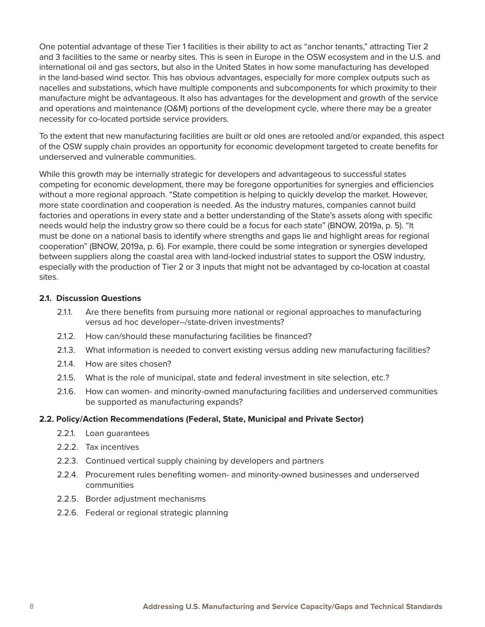One potential advantage of these Tier 1 facilities is their ability to act as "anchor tenants," attracting Tier 2 and 3 facilities to the same or nearby sites. This is seen in Europe in the OSW ecosystem and in the U.S. and international oil and gas sectors, but also in the United States in how some manufacturing has developed in the land-based wind sector. This has obvious advantages, especially for more complex outputs such as nacelles and substations, which have multiple components and subcomponents for which proximity to their manufacture might be advantageous. It also has advantages for the development and growth of the service and operations and maintenance (O&M) portions of the development cycle, where there may be a greater necessity for co-located portside service providers.

To the extent that new manufacturing facilities are built or old ones are retooled and/or expanded, this aspect of the OSW supply chain provides an opportunity for economic development targeted to create benefits for underserved and vulnerable communities.

While this growth may be internally strategic for developers and advantageous to successful states competing for economic development, there may be foregone opportunities for synergies and efficiencies without a more regional approach. "State competition is helping to quickly develop the market. However, more state coordination and cooperation is needed. As the industry matures, companies cannot build factories and operations in every state and a better understanding of the State's assets along with specific needs would help the industry grow so there could be a focus for each state" (BNOW, 2019a, p. 5). "It must be done on a national basis to identify where strengths and gaps lie and highlight areas for regional cooperation" (BNOW, 2019a, p. 6). For example, there could be some integration or synergies developed between suppliers along the coastal area with land-locked industrial states to support the OSW industry, especially with the production of Tier 2 or 3 inputs that might not be advantaged by co-location at coastal sites.

#### **2.1. Discussion Questions**

- 2.1.1. Are there benefits from pursuing more national or regional approaches to manufacturing versus ad hoc developer–/state-driven investments?
- 2.1.2. How can/should these manufacturing facilities be financed?
- 2.1.3. What information is needed to convert existing versus adding new manufacturing facilities?
- 2.1.4. How are sites chosen?
- 2.1.5. What is the role of municipal, state and federal investment in site selection, etc.?
- 2.1.6. How can women- and minority-owned manufacturing facilities and underserved communities be supported as manufacturing expands?

#### **2.2. Policy/Action Recommendations (Federal, State, Municipal and Private Sector)**

- 2.2.1. Loan guarantees
- 2.2.2. Tax incentives
- 2.2.3. Continued vertical supply chaining by developers and partners
- 2.2.4. Procurement rules benefiting women- and minority-owned businesses and underserved communities
- 2.2.5. Border adjustment mechanisms
- 2.2.6. Federal or regional strategic planning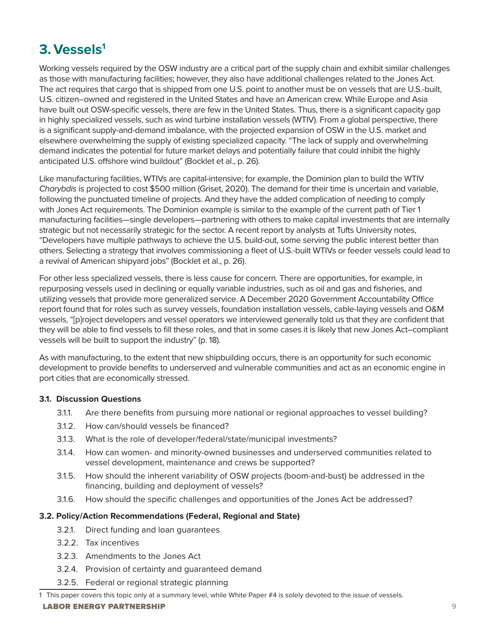### **3.Vessels1**

Working vessels required by the OSW industry are a critical part of the supply chain and exhibit similar challenges as those with manufacturing facilities; however, they also have additional challenges related to the Jones Act. The act requires that cargo that is shipped from one U.S. point to another must be on vessels that are U.S.-built, U.S. citizen–owned and registered in the United States and have an American crew. While Europe and Asia have built out OSW-specific vessels, there are few in the United States. Thus, there is a significant capacity gap in highly specialized vessels, such as wind turbine installation vessels (WTIV). From a global perspective, there is a significant supply-and-demand imbalance, with the projected expansion of OSW in the U.S. market and elsewhere overwhelming the supply of existing specialized capacity. "The lack of supply and overwhelming demand indicates the potential for future market delays and potentially failure that could inhibit the highly anticipated U.S. offshore wind buildout" (Bocklet et al., p. 26).

Like manufacturing facilities, WTIVs are capital-intensive; for example, the Dominion plan to build the WTIV *Charybdis* is projected to cost \$500 million (Griset, 2020). The demand for their time is uncertain and variable, following the punctuated timeline of projects. And they have the added complication of needing to comply with Jones Act requirements. The Dominion example is similar to the example of the current path of Tier 1 manufacturing facilities—single developers—partnering with others to make capital investments that are internally strategic but not necessarily strategic for the sector. A recent report by analysts at Tufts University notes, "Developers have multiple pathways to achieve the U.S. build-out, some serving the public interest better than others. Selecting a strategy that involves commissioning a fleet of U.S.-built WTIVs or feeder vessels could lead to a revival of American shipyard jobs" (Bocklet et al., p. 26).

For other less specialized vessels, there is less cause for concern. There are opportunities, for example, in repurposing vessels used in declining or equally variable industries, such as oil and gas and fisheries, and utilizing vessels that provide more generalized service. A December 2020 Government Accountability Office report found that for roles such as survey vessels, foundation installation vessels, cable-laying vessels and O&M vessels, "[p]roject developers and vessel operators we interviewed generally told us that they are confident that they will be able to find vessels to fill these roles, and that in some cases it is likely that new Jones Act–compliant vessels will be built to support the industry" (p. 18).

As with manufacturing, to the extent that new shipbuilding occurs, there is an opportunity for such economic development to provide benefits to underserved and vulnerable communities and act as an economic engine in port cities that are economically stressed.

#### **3.1. Discussion Questions**

- 3.1.1. Are there benefits from pursuing more national or regional approaches to vessel building?
- 3.1.2. How can/should vessels be financed?
- 3.1.3. What is the role of developer/federal/state/municipal investments?
- 3.1.4. How can women- and minority-owned businesses and underserved communities related to vessel development, maintenance and crews be supported?
- 3.1.5. How should the inherent variability of OSW projects (boom-and-bust) be addressed in the financing, building and deployment of vessels?
- 3.1.6. How should the specific challenges and opportunities of the Jones Act be addressed?

#### **3.2. Policy/Action Recommendations (Federal, Regional and State)**

- 3.2.1. Direct funding and loan guarantees
- 3.2.2. Tax incentives
- 3.2.3. Amendments to the Jones Act
- 3.2.4. Provision of certainty and guaranteed demand
- 3.2.5. Federal or regional strategic planning

<sup>1</sup> This paper covers this topic only at a summary level, while White Paper #4 is solely devoted to the issue of vessels.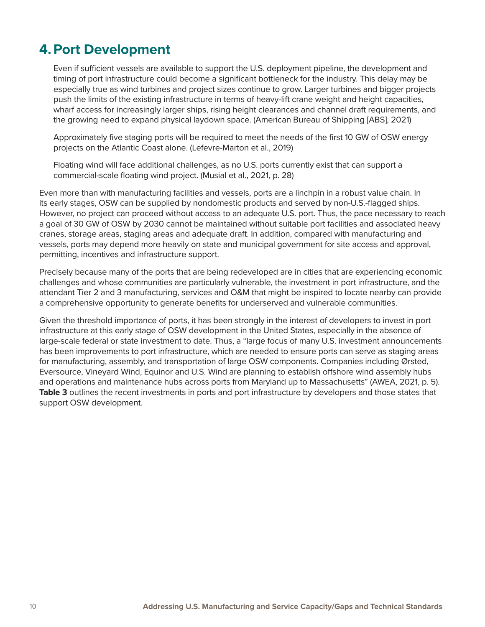### **4.Port Development**

Even if sufficient vessels are available to support the U.S. deployment pipeline, the development and timing of port infrastructure could become a significant bottleneck for the industry. This delay may be especially true as wind turbines and project sizes continue to grow. Larger turbines and bigger projects push the limits of the existing infrastructure in terms of heavy-lift crane weight and height capacities, wharf access for increasingly larger ships, rising height clearances and channel draft requirements, and the growing need to expand physical laydown space. (American Bureau of Shipping [ABS], 2021)

Approximately five staging ports will be required to meet the needs of the first 10 GW of OSW energy projects on the Atlantic Coast alone. (Lefevre-Marton et al., 2019)

Floating wind will face additional challenges, as no U.S. ports currently exist that can support a commercial-scale floating wind project. (Musial et al., 2021, p. 28)

Even more than with manufacturing facilities and vessels, ports are a linchpin in a robust value chain. In its early stages, OSW can be supplied by nondomestic products and served by non-U.S.-flagged ships. However, no project can proceed without access to an adequate U.S. port. Thus, the pace necessary to reach a goal of 30 GW of OSW by 2030 cannot be maintained without suitable port facilities and associated heavy cranes, storage areas, staging areas and adequate draft. In addition, compared with manufacturing and vessels, ports may depend more heavily on state and municipal government for site access and approval, permitting, incentives and infrastructure support.

Precisely because many of the ports that are being redeveloped are in cities that are experiencing economic challenges and whose communities are particularly vulnerable, the investment in port infrastructure, and the attendant Tier 2 and 3 manufacturing, services and O&M that might be inspired to locate nearby can provide a comprehensive opportunity to generate benefits for underserved and vulnerable communities.

Given the threshold importance of ports, it has been strongly in the interest of developers to invest in port infrastructure at this early stage of OSW development in the United States, especially in the absence of large-scale federal or state investment to date. Thus, a "large focus of many U.S. investment announcements has been improvements to port infrastructure, which are needed to ensure ports can serve as staging areas for manufacturing, assembly, and transportation of large OSW components. Companies including Ørsted, Eversource, Vineyard Wind, Equinor and U.S. Wind are planning to establish offshore wind assembly hubs and operations and maintenance hubs across ports from Maryland up to Massachusetts" (AWEA, 2021, p. 5). **Table 3** outlines the recent investments in ports and port infrastructure by developers and those states that support OSW development.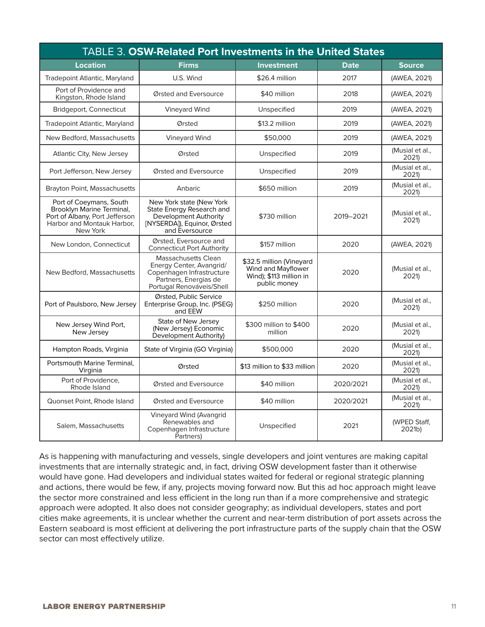|                                                                                                                                  | <b>TABLE 3. OSW-Related Port Investments in the United States</b>                                                                         |                                                                                           |             |                          |
|----------------------------------------------------------------------------------------------------------------------------------|-------------------------------------------------------------------------------------------------------------------------------------------|-------------------------------------------------------------------------------------------|-------------|--------------------------|
| <b>Location</b>                                                                                                                  | <b>Firms</b>                                                                                                                              | <b>Investment</b>                                                                         | <b>Date</b> | <b>Source</b>            |
| <b>Tradepoint Atlantic, Maryland</b>                                                                                             | U.S. Wind                                                                                                                                 | \$26.4 million                                                                            | 2017        | (AWEA, 2021)             |
| Port of Providence and<br>Kingston, Rhode Island                                                                                 | Ørsted and Eversource                                                                                                                     | \$40 million                                                                              | 2018        | (AWEA, 2021)             |
| Bridgeport, Connecticut                                                                                                          | Vineyard Wind                                                                                                                             | Unspecified                                                                               | 2019        | (AWEA, 2021)             |
| Tradepoint Atlantic, Maryland                                                                                                    | Ørsted                                                                                                                                    | \$13.2 million                                                                            | 2019        | (AWEA, 2021)             |
| New Bedford, Massachusetts                                                                                                       | <b>Vineyard Wind</b>                                                                                                                      | \$50,000                                                                                  | 2019        | (AWEA, 2021)             |
| Atlantic City, New Jersey                                                                                                        | Ørsted                                                                                                                                    | Unspecified                                                                               | 2019        | (Musial et al.,<br>2021) |
| Port Jefferson, New Jersey                                                                                                       | Ørsted and Eversource                                                                                                                     | Unspecified                                                                               | 2019        | (Musial et al.,<br>2021) |
| Brayton Point, Massachusetts                                                                                                     | Anbaric                                                                                                                                   | \$650 million                                                                             | 2019        | (Musial et al.,<br>2021) |
| Port of Coeymans, South<br>Brooklyn Marine Terminal,<br>Port of Albany, Port Jefferson<br>Harbor and Montauk Harbor.<br>New York | New York state (New York<br>State Energy Research and<br>Development Authority<br>[NYSERDA]), Equinor, Ørsted<br>and Eversource           | \$730 million                                                                             | 2019-2021   | (Musial et al.,<br>2021) |
| New London, Connecticut                                                                                                          | Ørsted, Eversource and<br><b>Connecticut Port Authority</b>                                                                               | \$157 million                                                                             | 2020        | (AWEA, 2021)             |
| New Bedford, Massachusetts                                                                                                       | <b>Massachusetts Clean</b><br>Energy Center, Avangrid/<br>Copenhagen Infrastructure<br>Partners, Energias de<br>Portugal Renováveis/Shell | \$32.5 million (Vineyard<br>Wind and Mayflower<br>Wind); \$113 million in<br>public money | 2020        | (Musial et al.,<br>2021) |
| Port of Paulsboro, New Jersey                                                                                                    | Ørsted, Public Service<br>Enterprise Group, Inc. (PSEG)<br>and EEW                                                                        | \$250 million                                                                             | 2020        | (Musial et al.,<br>2021) |
| New Jersey Wind Port,<br>New Jersey                                                                                              | State of New Jersey<br>(New Jersey) Economic<br>Development Authority)                                                                    | \$300 million to \$400<br>million                                                         | 2020        | (Musial et al.,<br>2021) |
| Hampton Roads, Virginia                                                                                                          | State of Virginia (GO Virginia)                                                                                                           | \$500,000                                                                                 | 2020        | (Musial et al.,<br>2021) |
| Portsmouth Marine Terminal.<br>Virginia                                                                                          | Ørsted                                                                                                                                    | \$13 million to \$33 million                                                              | 2020        | (Musial et al.,<br>2021) |
| Port of Providence,<br>Rhode Island                                                                                              | Ørsted and Eversource                                                                                                                     | \$40 million                                                                              | 2020/2021   | (Musial et al.,<br>2021) |
| Quonset Point, Rhode Island                                                                                                      | Ørsted and Eversource                                                                                                                     | \$40 million                                                                              | 2020/2021   | (Musial et al.,<br>2021) |
| Salem, Massachusetts                                                                                                             | Vineyard Wind (Avangrid<br>Renewables and<br>Copenhagen Infrastructure<br>Partners)                                                       | Unspecified                                                                               | 2021        | (WPED Staff,<br>2021b)   |

As is happening with manufacturing and vessels, single developers and joint ventures are making capital investments that are internally strategic and, in fact, driving OSW development faster than it otherwise would have gone. Had developers and individual states waited for federal or regional strategic planning and actions, there would be few, if any, projects moving forward now. But this ad hoc approach might leave the sector more constrained and less efficient in the long run than if a more comprehensive and strategic approach were adopted. It also does not consider geography; as individual developers, states and port cities make agreements, it is unclear whether the current and near-term distribution of port assets across the Eastern seaboard is most efficient at delivering the port infrastructure parts of the supply chain that the OSW sector can most effectively utilize.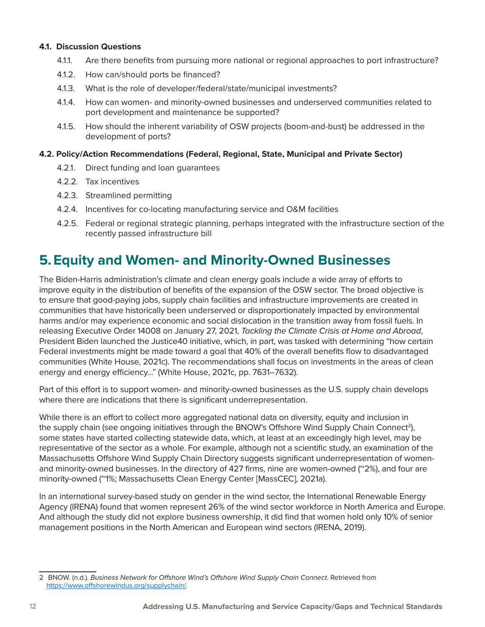#### **4.1. Discussion Questions**

- 4.1.1. Are there benefits from pursuing more national or regional approaches to port infrastructure?
- 4.1.2. How can/should ports be financed?
- 4.1.3. What is the role of developer/federal/state/municipal investments?
- 4.1.4. How can women- and minority-owned businesses and underserved communities related to port development and maintenance be supported?
- 4.1.5. How should the inherent variability of OSW projects (boom-and-bust) be addressed in the development of ports?

#### **4.2. Policy/Action Recommendations (Federal, Regional, State, Municipal and Private Sector)**

- 4.2.1. Direct funding and loan guarantees
- 4.2.2. Tax incentives
- 4.2.3. Streamlined permitting
- 4.2.4. Incentives for co-locating manufacturing service and O&M facilities
- 4.2.5. Federal or regional strategic planning, perhaps integrated with the infrastructure section of the recently passed infrastructure bill

### **5.Equity and Women- and Minority-Owned Businesses**

The Biden-Harris administration's climate and clean energy goals include a wide array of efforts to improve equity in the distribution of benefits of the expansion of the OSW sector. The broad objective is to ensure that good-paying jobs, supply chain facilities and infrastructure improvements are created in communities that have historically been underserved or disproportionately impacted by environmental harms and/or may experience economic and social dislocation in the transition away from fossil fuels. In releasing Executive Order 14008 on January 27, 2021, *Tackling the Climate Crisis at Home and Abroad*, President Biden launched the Justice40 initiative, which, in part, was tasked with determining "how certain Federal investments might be made toward a goal that 40% of the overall benefits flow to disadvantaged communities (White House, 2021c). The recommendations shall focus on investments in the areas of clean energy and energy efficiency..." (White House, 2021c, pp. 7631–7632).

Part of this effort is to support women- and minority-owned businesses as the U.S. supply chain develops where there are indications that there is significant underrepresentation.

While there is an effort to collect more aggregated national data on diversity, equity and inclusion in the supply chain (see ongoing initiatives through the BNOW's Offshore Wind Supply Chain Connect<sup>2</sup>), some states have started collecting statewide data, which, at least at an exceedingly high level, may be representative of the sector as a whole. For example, although not a scientific study, an examination of the Massachusetts Offshore Wind Supply Chain Directory suggests significant underrepresentation of womenand minority-owned businesses. In the directory of 427 firms, nine are women-owned ( $\degree$ 2%), and four are minority-owned (~1%; Massachusetts Clean Energy Center [MassCEC], 2021a).

In an international survey-based study on gender in the wind sector, the International Renewable Energy Agency (IRENA) found that women represent 26% of the wind sector workforce in North America and Europe. And although the study did not explore business ownership, it did find that women hold only 10% of senior management positions in the North American and European wind sectors (IRENA, 2019).

<sup>2</sup> BNOW. (n.d.). *Business Network for Offshore Wind's Offshore Wind Supply Chain Connect*. Retrieved from <https://www.offshorewindus.org/supplychain/>.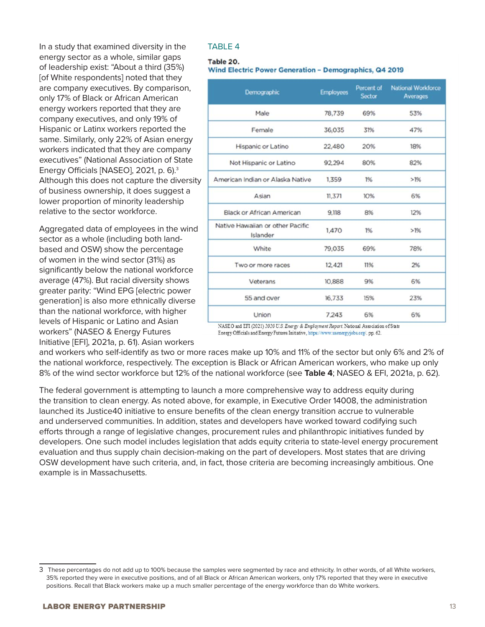In a study that examined diversity in the energy sector as a whole, similar gaps of leadership exist: "About a third (35%) [of White respondents] noted that they are company executives. By comparison, only 17% of Black or African American energy workers reported that they are company executives, and only 19% of Hispanic or Latinx workers reported the same. Similarly, only 22% of Asian energy workers indicated that they are company executives" (National Association of State Energy Officials [NASEO], 2021, p. 6).3 Although this does not capture the diversity of business ownership, it does suggest a lower proportion of minority leadership relative to the sector workforce.

Aggregated data of employees in the wind sector as a whole (including both landbased and OSW) show the percentage of women in the wind sector (31%) as significantly below the national workforce average (47%). But racial diversity shows greater parity: "Wind EPG [electric power generation] is also more ethnically diverse than the national workforce, with higher levels of Hispanic or Latino and Asian workers" (NASEO & Energy Futures Initiative [EFI], 2021a, p. 61). Asian workers

#### TABLE 4

#### Table 20.

**Wind Electric Power Generation - Demographics, Q4 2019** 

| Demographic                                  | <b>Employees</b> | Percent of<br>Sector | <b>National Workforce</b><br>Averages |
|----------------------------------------------|------------------|----------------------|---------------------------------------|
| Male                                         | 78,739           | 69%                  | 53%                                   |
| Female                                       | 36,035           | 31%                  | 47%                                   |
| Hispanic or Latino                           | 22,480           | 20%                  | 18%                                   |
| Not Hispanic or Latino                       | 92,294           | 80%                  | 82%                                   |
| American Indian or Alaska Native             | 1,359            | 1%                   | $>1\%$                                |
| Asian                                        | 11,371           | 10%                  | 6%                                    |
| <b>Black or African American</b>             | 9,118            | 8%                   | 12%                                   |
| Native Hawaiian or other Pacific<br>Islander | 1,470            | 1%                   | $>1\%$                                |
| White                                        | 79,035           | 69%                  | 78%                                   |
| Two or more races                            | 12,421           | 11%                  | 2%                                    |
| Veterans                                     | 10,888           | 9%                   | 6%                                    |
| 55 and over                                  | 16,733           | 15%                  | 23%                                   |
| Union                                        | 7.243            | 6%                   | 6%                                    |

NASEO and EFI (2021) 2020 U.S. Energy & Employment Report. National Association of State Energy Officials and Energy Futures Initiative, https://www.usenergyjobs.org/.pp. 62.

and workers who self-identify as two or more races make up 10% and 11% of the sector but only 6% and 2% of the national workforce, respectively. The exception is Black or African American workers, who make up only 8% of the wind sector workforce but 12% of the national workforce (see **Table 4**; NASEO & EFI, 2021a, p. 62).

The federal government is attempting to launch a more comprehensive way to address equity during the transition to clean energy. As noted above, for example, in Executive Order 14008, the administration launched its Justice40 initiative to ensure benefits of the clean energy transition accrue to vulnerable and underserved communities. In addition, states and developers have worked toward codifying such efforts through a range of legislative changes, procurement rules and philanthropic initiatives funded by developers. One such model includes legislation that adds equity criteria to state-level energy procurement evaluation and thus supply chain decision-making on the part of developers. Most states that are driving OSW development have such criteria, and, in fact, those criteria are becoming increasingly ambitious. One example is in Massachusetts.

<sup>3</sup> These percentages do not add up to 100% because the samples were segmented by race and ethnicity. In other words, of all White workers, 35% reported they were in executive positions, and of all Black or African American workers, only 17% reported that they were in executive positions. Recall that Black workers make up a much smaller percentage of the energy workforce than do White workers.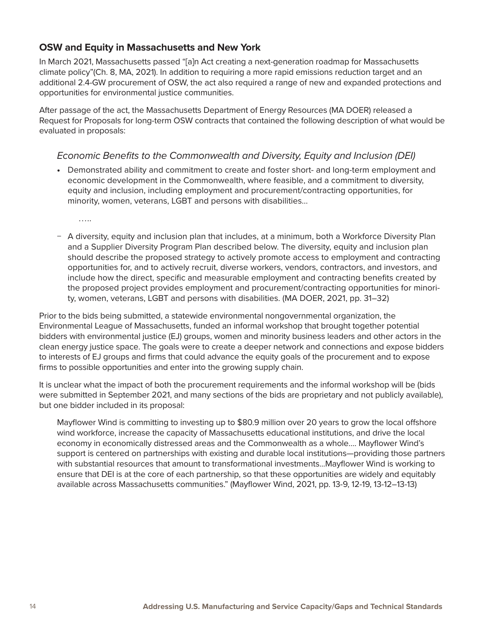#### **OSW and Equity in Massachusetts and New York**

In March 2021, Massachusetts passed "[a]n Act creating a next-generation roadmap for Massachusetts climate policy"(Ch. 8, MA, 2021). In addition to requiring a more rapid emissions reduction target and an additional 2.4-GW procurement of OSW, the act also required a range of new and expanded protections and opportunities for environmental justice communities.

After passage of the act, the Massachusetts Department of Energy Resources (MA DOER) released a Request for Proposals for long-term OSW contracts that contained the following description of what would be evaluated in proposals:

#### *Economic Benefits to the Commonwealth and Diversity, Equity and Inclusion (DEI)*

• Demonstrated ability and commitment to create and foster short- and long-term employment and economic development in the Commonwealth, where feasible, and a commitment to diversity, equity and inclusion, including employment and procurement/contracting opportunities, for minority, women, veterans, LGBT and persons with disabilities…

…..

− A diversity, equity and inclusion plan that includes, at a minimum, both a Workforce Diversity Plan and a Supplier Diversity Program Plan described below. The diversity, equity and inclusion plan should describe the proposed strategy to actively promote access to employment and contracting opportunities for, and to actively recruit, diverse workers, vendors, contractors, and investors, and include how the direct, specific and measurable employment and contracting benefits created by the proposed project provides employment and procurement/contracting opportunities for minority, women, veterans, LGBT and persons with disabilities. (MA DOER, 2021, pp. 31–32)

Prior to the bids being submitted, a statewide environmental nongovernmental organization, the Environmental League of Massachusetts, funded an informal workshop that brought together potential bidders with environmental justice (EJ) groups, women and minority business leaders and other actors in the clean energy justice space. The goals were to create a deeper network and connections and expose bidders to interests of EJ groups and firms that could advance the equity goals of the procurement and to expose firms to possible opportunities and enter into the growing supply chain.

It is unclear what the impact of both the procurement requirements and the informal workshop will be (bids were submitted in September 2021, and many sections of the bids are proprietary and not publicly available), but one bidder included in its proposal:

Mayflower Wind is committing to investing up to \$80.9 million over 20 years to grow the local offshore wind workforce, increase the capacity of Massachusetts educational institutions, and drive the local economy in economically distressed areas and the Commonwealth as a whole…. Mayflower Wind's support is centered on partnerships with existing and durable local institutions—providing those partners with substantial resources that amount to transformational investments...Mayflower Wind is working to ensure that DEI is at the core of each partnership, so that these opportunities are widely and equitably available across Massachusetts communities." (Mayflower Wind, 2021, pp. 13-9, 12-19, 13-12–13-13)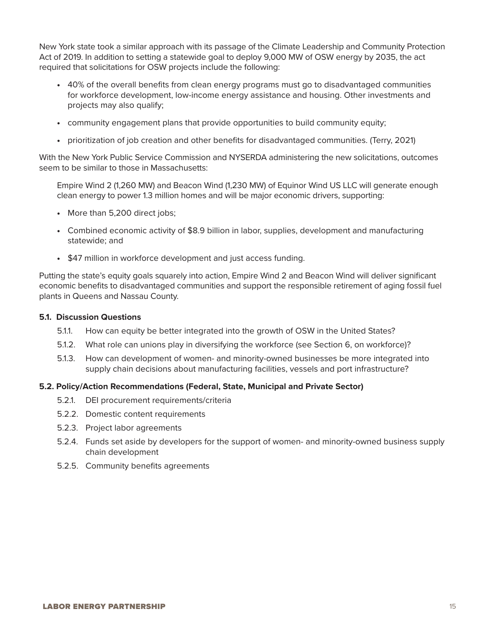New York state took a similar approach with its passage of the Climate Leadership and Community Protection Act of 2019. In addition to setting a statewide goal to deploy 9,000 MW of OSW energy by 2035, the act required that solicitations for OSW projects include the following:

- 40% of the overall benefits from clean energy programs must go to disadvantaged communities for workforce development, low-income energy assistance and housing. Other investments and projects may also qualify;
- community engagement plans that provide opportunities to build community equity;
- prioritization of job creation and other benefits for disadvantaged communities. (Terry, 2021)

With the New York Public Service Commission and NYSERDA administering the new solicitations, outcomes seem to be similar to those in Massachusetts:

Empire Wind 2 (1,260 MW) and Beacon Wind (1,230 MW) of Equinor Wind US LLC will generate enough clean energy to power 1.3 million homes and will be major economic drivers, supporting:

- More than 5,200 direct jobs;
- Combined economic activity of \$8.9 billion in labor, supplies, development and manufacturing statewide; and
- \$47 million in workforce development and just access funding.

Putting the state's equity goals squarely into action, Empire Wind 2 and Beacon Wind will deliver significant economic benefits to disadvantaged communities and support the responsible retirement of aging fossil fuel plants in Queens and Nassau County.

#### **5.1. Discussion Questions**

- 5.1.1. How can equity be better integrated into the growth of OSW in the United States?
- 5.1.2. What role can unions play in diversifying the workforce (see Section 6, on workforce)?
- 5.1.3. How can development of women- and minority-owned businesses be more integrated into supply chain decisions about manufacturing facilities, vessels and port infrastructure?

#### **5.2. Policy/Action Recommendations (Federal, State, Municipal and Private Sector)**

- 5.2.1. DEI procurement requirements/criteria
- 5.2.2. Domestic content requirements
- 5.2.3. Project labor agreements
- 5.2.4. Funds set aside by developers for the support of women- and minority-owned business supply chain development
- 5.2.5. Community benefits agreements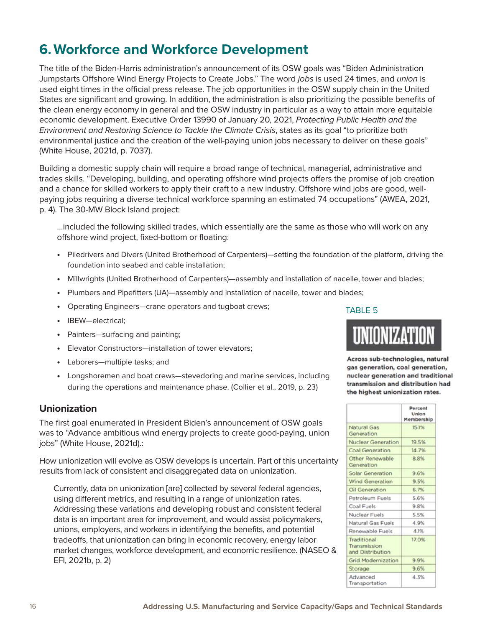### **6.Workforce and Workforce Development**

The title of the Biden-Harris administration's announcement of its OSW goals was "Biden Administration Jumpstarts Offshore Wind Energy Projects to Create Jobs." The word *jobs* is used 24 times, and *union* is used eight times in the official press release. The job opportunities in the OSW supply chain in the United States are significant and growing. In addition, the administration is also prioritizing the possible benefits of the clean energy economy in general and the OSW industry in particular as a way to attain more equitable economic development. Executive Order 13990 of January 20, 2021, *Protecting Public Health and the Environment and Restoring Science to Tackle the Climate Crisis*, states as its goal "to prioritize both environmental justice and the creation of the well-paying union jobs necessary to deliver on these goals" (White House, 2021d, p. 7037).

Building a domestic supply chain will require a broad range of technical, managerial, administrative and trades skills. "Developing, building, and operating offshore wind projects offers the promise of job creation and a chance for skilled workers to apply their craft to a new industry. Offshore wind jobs are good, wellpaying jobs requiring a diverse technical workforce spanning an estimated 74 occupations" (AWEA, 2021, p. 4). The 30-MW Block Island project:

…included the following skilled trades, which essentially are the same as those who will work on any offshore wind project, fixed-bottom or floating:

- Piledrivers and Divers (United Brotherhood of Carpenters)—setting the foundation of the platform, driving the foundation into seabed and cable installation;
- Millwrights (United Brotherhood of Carpenters)—assembly and installation of nacelle, tower and blades;
- Plumbers and Pipefitters (UA)—assembly and installation of nacelle, tower and blades;
- Operating Engineers—crane operators and tugboat crews;
- IBEW—electrical;
- Painters—surfacing and painting;
- Elevator Constructors-installation of tower elevators;
- Laborers-multiple tasks; and
- Longshoremen and boat crews—stevedoring and marine services, including during the operations and maintenance phase. (Collier et al., 2019, p. 23)

#### **Unionization**

The first goal enumerated in President Biden's announcement of OSW goals was to "Advance ambitious wind energy projects to create good-paying, union jobs" (White House, 2021d).:

How unionization will evolve as OSW develops is uncertain. Part of this uncertainty results from lack of consistent and disaggregated data on unionization.

Currently, data on unionization [are] collected by several federal agencies, using different metrics, and resulting in a range of unionization rates. Addressing these variations and developing robust and consistent federal data is an important area for improvement, and would assist policymakers, unions, employers, and workers in identifying the benefits, and potential tradeoffs, that unionization can bring in economic recovery, energy labor market changes, workforce development, and economic resilience. (NASEO & EFI, 2021b, p. 2)

TABLE 5

Across sub-technologies, natural gas generation, coal generation, nuclear generation and traditional transmission and distribution had the highest unionization rates.

|                                                 | Percent<br>Union<br>Membership |
|-------------------------------------------------|--------------------------------|
| Natural Gas<br>Generation                       | 15.1%                          |
| Nuclear Generation                              | 19.5%                          |
| <b>Coal Generation</b>                          | 14.7%                          |
| Other Renewable<br>Generation                   | 8.8%                           |
| <b>Solar Generation</b>                         | 9.6%                           |
| <b>Wind Generation</b>                          | 9.5%                           |
| <b>Oil Generation</b>                           | 6.7%                           |
| Petroleum Fuels                                 | 5.6%                           |
| Coal Fuels                                      | 9.8%                           |
| Nuclear Fuels                                   | 5.5%                           |
| Natural Gas Fuels                               | 4.9%                           |
| Renewable Fuels                                 | 4.1%                           |
| Traditional<br>Transmission<br>and Distribution | 17.0%                          |
| <b>Grid Modernization</b>                       | 9.9%                           |
| Storage                                         | 9.6%                           |
| Advanced<br>Transportation                      | 4.3%                           |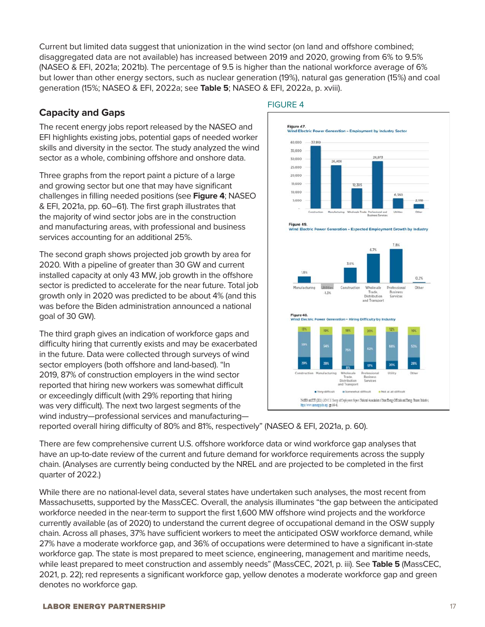Current but limited data suggest that unionization in the wind sector (on land and offshore combined; disaggregated data are not available) has increased between 2019 and 2020, growing from 6% to 9.5% (NASEO & EFI, 2021a; 2021b). The percentage of 9.5 is higher than the national workforce average of 6% but lower than other energy sectors, such as nuclear generation (19%), natural gas generation (15%) and coal generation (15%; NASEO & EFI, 2022a; see **Table 5**; NASEO & EFI, 2022a, p. xviii).

#### **Capacity and Gaps**

The recent energy jobs report released by the NASEO and EFI highlights existing jobs, potential gaps of needed worker skills and diversity in the sector. The study analyzed the wind sector as a whole, combining offshore and onshore data.

Three graphs from the report paint a picture of a large and growing sector but one that may have significant challenges in filling needed positions (see **Figure 4**; NASEO & EFI, 2021a, pp. 60–61). The first graph illustrates that the majority of wind sector jobs are in the construction and manufacturing areas, with professional and business services accounting for an additional 25%.

The second graph shows projected job growth by area for 2020. With a pipeline of greater than 30 GW and current installed capacity at only 43 MW, job growth in the offshore sector is predicted to accelerate for the near future. Total job growth only in 2020 was predicted to be about 4% (and this was before the Biden administration announced a national goal of 30 GW).

The third graph gives an indication of workforce gaps and difficulty hiring that currently exists and may be exacerbated in the future. Data were collected through surveys of wind sector employers (both offshore and land-based). "In 2019, 87% of construction employers in the wind sector reported that hiring new workers was somewhat difficult or exceedingly difficult (with 29% reporting that hiring was very difficult). The next two largest segments of the wind industry—professional services and manufacturing—

#### FIGURE 4



reported overall hiring difficulty of 80% and 81%, respectively" (NASEO & EFI, 2021a, p. 60).

There are few comprehensive current U.S. offshore workforce data or wind workforce gap analyses that have an up-to-date review of the current and future demand for workforce requirements across the supply chain. (Analyses are currently being conducted by the NREL and are projected to be completed in the first quarter of 2022.)

While there are no national-level data, several states have undertaken such analyses, the most recent from Massachusetts, supported by the MassCEC. Overall, the analysis illuminates "the gap between the anticipated workforce needed in the near-term to support the first 1,600 MW offshore wind projects and the workforce currently available (as of 2020) to understand the current degree of occupational demand in the OSW supply chain. Across all phases, 37% have sufficient workers to meet the anticipated OSW workforce demand, while 27% have a moderate workforce gap, and 36% of occupations were determined to have a significant in-state workforce gap. The state is most prepared to meet science, engineering, management and maritime needs, while least prepared to meet construction and assembly needs" (MassCEC, 2021, p. iii). See **Table 5** (MassCEC, 2021, p. 22); red represents a significant workforce gap, yellow denotes a moderate workforce gap and green denotes no workforce gap.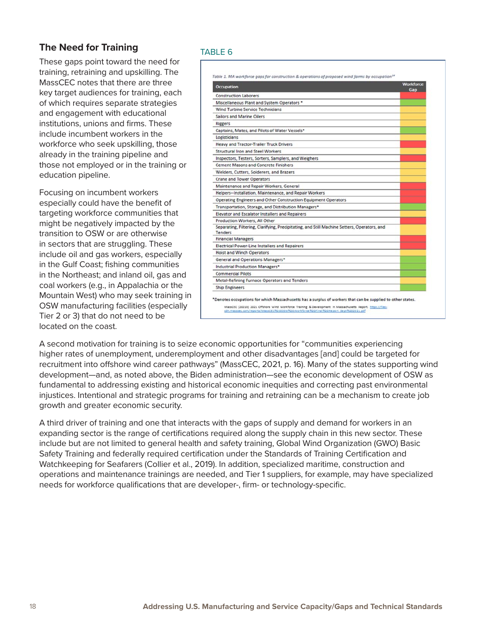### **The Need for Training**

These gaps point toward the need for training, retraining and upskilling. The MassCEC notes that there are three key target audiences for training, each of which requires separate strategies and engagement with educational institutions, unions and firms. These include incumbent workers in the workforce who seek upskilling, those already in the training pipeline and those not employed or in the training or education pipeline.

Focusing on incumbent workers especially could have the benefit of targeting workforce communities that might be negatively impacted by the transition to OSW or are otherwise in sectors that are struggling. These include oil and gas workers, especially in the Gulf Coast; fishing communities in the Northeast; and inland oil, gas and coal workers (e.g., in Appalachia or the Mountain West) who may seek training in OSW manufacturing facilities (especially Tier 2 or 3) that do not need to be located on the coast.

#### TABLE 6

| <b>Occupation</b>                                                                                      | Workforce |
|--------------------------------------------------------------------------------------------------------|-----------|
| <b>Construction Laborers</b>                                                                           | Gan       |
| Miscellaneous Plant and System Operators *                                                             |           |
| <b>Wind Turbine Service Technicians</b>                                                                |           |
| <b>Sailors and Marine Oilers</b>                                                                       |           |
| <b>Riggers</b>                                                                                         |           |
| Captains, Mates, and Pilots of Water Vessels*                                                          |           |
| Logisticians                                                                                           |           |
| <b>Heavy and Tractor-Trailer Truck Drivers</b>                                                         |           |
| Structural Iron and Steel Workers                                                                      |           |
| Inspectors, Testers, Sorters, Samplers, and Weighers                                                   |           |
| <b>Cement Masons and Concrete Finishers</b>                                                            |           |
| Welders, Cutters, Solderers, and Brazers                                                               |           |
| <b>Crane and Tower Operators</b>                                                                       |           |
| Maintenance and Repair Workers, General                                                                |           |
| Helpers--Installation, Maintenance, and Repair Workers                                                 |           |
| Operating Engineers and Other Construction Equipment Operators                                         |           |
| Transportation, Storage, and Distribution Managers*                                                    |           |
| Elevator and Escalator Installers and Repairers                                                        |           |
| Production Workers, All Other                                                                          |           |
| Separating, Filtering, Clarifying, Precipitating, and Still Machine Setters, Operators, and<br>Tenders |           |
| <b>Financial Managers</b>                                                                              |           |
| <b>Electrical Power-Line Installers and Repairers</b>                                                  |           |
| <b>Hoist and Winch Operators</b>                                                                       |           |
| General and Operations Managers*                                                                       |           |
| Industrial Production Managers*                                                                        |           |
| <b>Commercial Pilots</b>                                                                               |           |
| Metal-Refining Furnace Operators and Tenders                                                           |           |
| <b>Ship Engineers</b>                                                                                  |           |

A second motivation for training is to seize economic opportunities for "communities experiencing higher rates of unemployment, underemployment and other disadvantages [and] could be targeted for recruitment into offshore wind career pathways" (MassCEC, 2021, p. 16). Many of the states supporting wind development—and, as noted above, the Biden administration—see the economic development of OSW as fundamental to addressing existing and historical economic inequities and correcting past environmental injustices. Intentional and strategic programs for training and retraining can be a mechanism to create job growth and greater economic security.

A third driver of training and one that interacts with the gaps of supply and demand for workers in an expanding sector is the range of certifications required along the supply chain in this new sector. These include but are not limited to general health and safety training, Global Wind Organization (GWO) Basic Safety Training and federally required certification under the Standards of Training Certification and Watchkeeping for Seafarers (Collier et al., 2019). In addition, specialized maritime, construction and operations and maintenance trainings are needed, and Tier 1 suppliers, for example, may have specialized needs for workforce qualifications that are developer-, firm- or technology-specific.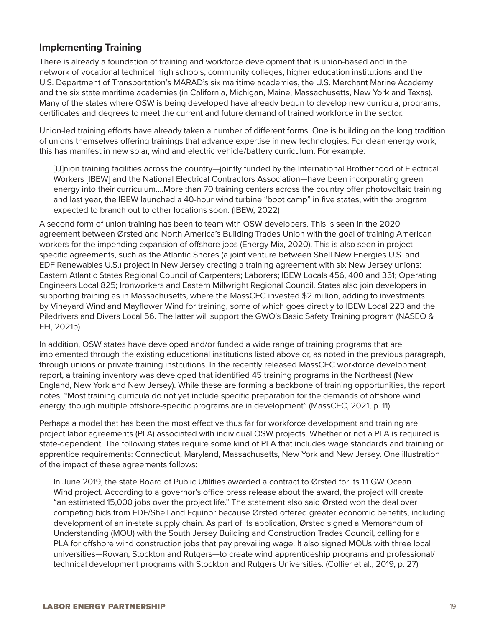#### **Implementing Training**

There is already a foundation of training and workforce development that is union-based and in the network of vocational technical high schools, community colleges, higher education institutions and the U.S. Department of Transportation's MARAD's six maritime academies, the U.S. Merchant Marine Academy and the six state maritime academies (in California, Michigan, Maine, Massachusetts, New York and Texas). Many of the states where OSW is being developed have already begun to develop new curricula, programs, certificates and degrees to meet the current and future demand of trained workforce in the sector.

Union-led training efforts have already taken a number of different forms. One is building on the long tradition of unions themselves offering trainings that advance expertise in new technologies. For clean energy work, this has manifest in new solar, wind and electric vehicle/battery curriculum. For example:

[U]nion training facilities across the country—jointly funded by the International Brotherhood of Electrical Workers [IBEW] and the National Electrical Contractors Association—have been incorporating green energy into their curriculum….More than 70 training centers across the country offer photovoltaic training and last year, the IBEW launched a 40-hour wind turbine "boot camp" in five states, with the program expected to branch out to other locations soon. (IBEW, 2022)

A second form of union training has been to team with OSW developers. This is seen in the 2020 agreement between Ørsted and North America's Building Trades Union with the goal of training American workers for the impending expansion of offshore jobs (Energy Mix, 2020). This is also seen in projectspecific agreements, such as the Atlantic Shores (a joint venture between Shell New Energies U.S. and EDF Renewables U.S.) project in New Jersey creating a training agreement with six New Jersey unions: Eastern Atlantic States Regional Council of Carpenters; Laborers; IBEW Locals 456, 400 and 351; Operating Engineers Local 825; Ironworkers and Eastern Millwright Regional Council. States also join developers in supporting training as in Massachusetts, where the MassCEC invested \$2 million, adding to investments by Vineyard Wind and Mayflower Wind for training, some of which goes directly to IBEW Local 223 and the Piledrivers and Divers Local 56. The latter will support the GWO's Basic Safety Training program (NASEO & EFI, 2021b).

In addition, OSW states have developed and/or funded a wide range of training programs that are implemented through the existing educational institutions listed above or, as noted in the previous paragraph, through unions or private training institutions. In the recently released MassCEC workforce development report, a training inventory was developed that identified 45 training programs in the Northeast (New England, New York and New Jersey). While these are forming a backbone of training opportunities, the report notes, "Most training curricula do not yet include specific preparation for the demands of offshore wind energy, though multiple offshore-specific programs are in development" (MassCEC, 2021, p. 11).

Perhaps a model that has been the most effective thus far for workforce development and training are project labor agreements (PLA) associated with individual OSW projects. Whether or not a PLA is required is state-dependent. The following states require some kind of PLA that includes wage standards and training or apprentice requirements: Connecticut, Maryland, Massachusetts, New York and New Jersey. One illustration of the impact of these agreements follows:

In June 2019, the state Board of Public Utilities awarded a contract to Ørsted for its 1.1 GW Ocean Wind project. According to a governor's office press release about the award, the project will create "an estimated 15,000 jobs over the project life." The statement also said Ørsted won the deal over competing bids from EDF/Shell and Equinor because Ørsted offered greater economic benefits, including development of an in-state supply chain. As part of its application, Ørsted signed a Memorandum of Understanding (MOU) with the South Jersey Building and Construction Trades Council, calling for a PLA for offshore wind construction jobs that pay prevailing wage. It also signed MOUs with three local universities—Rowan, Stockton and Rutgers—to create wind apprenticeship programs and professional/ technical development programs with Stockton and Rutgers Universities. (Collier et al., 2019, p. 27)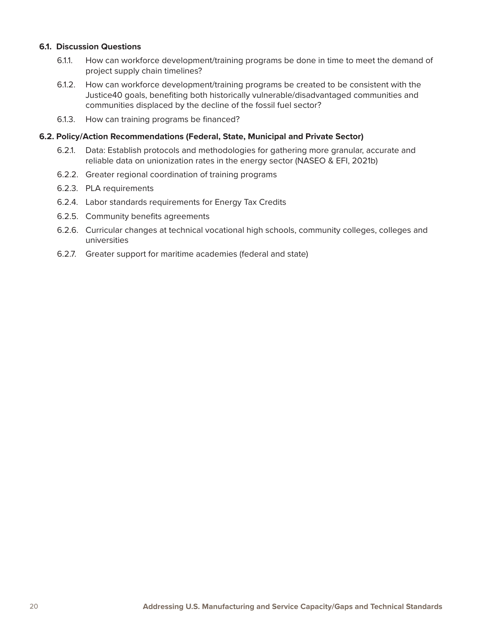#### **6.1. Discussion Questions**

- 6.1.1. How can workforce development/training programs be done in time to meet the demand of project supply chain timelines?
- 6.1.2. How can workforce development/training programs be created to be consistent with the Justice40 goals, benefiting both historically vulnerable/disadvantaged communities and communities displaced by the decline of the fossil fuel sector?
- 6.1.3. How can training programs be financed?

#### **6.2. Policy/Action Recommendations (Federal, State, Municipal and Private Sector)**

- 6.2.1. Data: Establish protocols and methodologies for gathering more granular, accurate and reliable data on unionization rates in the energy sector (NASEO & EFI, 2021b)
- 6.2.2. Greater regional coordination of training programs
- 6.2.3. PLA requirements
- 6.2.4. Labor standards requirements for Energy Tax Credits
- 6.2.5. Community benefits agreements
- 6.2.6. Curricular changes at technical vocational high schools, community colleges, colleges and universities
- 6.2.7. Greater support for maritime academies (federal and state)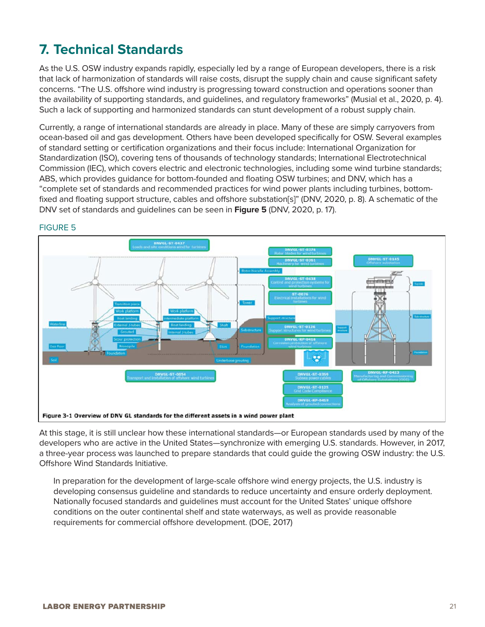## **7. Technical Standards**

As the U.S. OSW industry expands rapidly, especially led by a range of European developers, there is a risk that lack of harmonization of standards will raise costs, disrupt the supply chain and cause significant safety concerns. "The U.S. offshore wind industry is progressing toward construction and operations sooner than the availability of supporting standards, and guidelines, and regulatory frameworks" (Musial et al., 2020, p. 4). Such a lack of supporting and harmonized standards can stunt development of a robust supply chain.

Currently, a range of international standards are already in place. Many of these are simply carryovers from ocean-based oil and gas development. Others have been developed specifically for OSW. Several examples of standard setting or certification organizations and their focus include: International Organization for Standardization (ISO), covering tens of thousands of technology standards; International Electrotechnical Commission (IEC), which covers electric and electronic technologies, including some wind turbine standards; ABS, which provides guidance for bottom-founded and floating OSW turbines; and DNV, which has a "complete set of standards and recommended practices for wind power plants including turbines, bottomfixed and floating support structure, cables and offshore substation[s]" (DNV, 2020, p. 8). A schematic of the DNV set of standards and guidelines can be seen in **Figure 5** (DNV, 2020, p. 17).



#### FIGURE 5

At this stage, it is still unclear how these international standards—or European standards used by many of the developers who are active in the United States—synchronize with emerging U.S. standards. However, in 2017, a three-year process was launched to prepare standards that could guide the growing OSW industry: the U.S. Offshore Wind Standards Initiative.

In preparation for the development of large-scale offshore wind energy projects, the U.S. industry is developing consensus guideline and standards to reduce uncertainty and ensure orderly deployment. Nationally focused standards and guidelines must account for the United States' unique offshore conditions on the outer continental shelf and state waterways, as well as provide reasonable requirements for commercial offshore development. (DOE, 2017)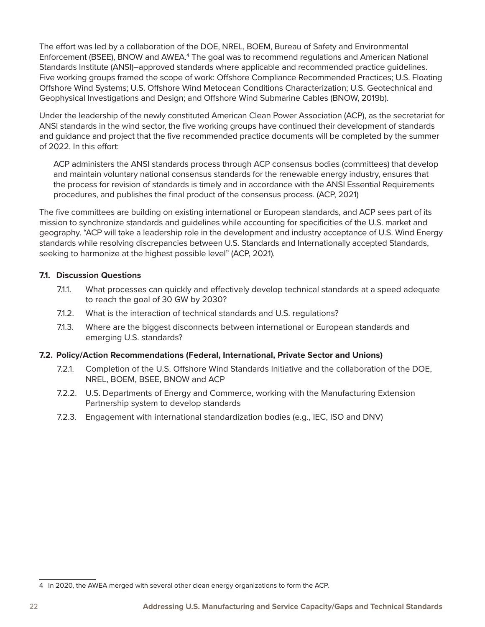The effort was led by a collaboration of the DOE, NREL, BOEM, Bureau of Safety and Environmental Enforcement (BSEE), BNOW and AWEA.<sup>4</sup> The goal was to recommend regulations and American National Standards Institute (ANSI)–approved standards where applicable and recommended practice guidelines. Five working groups framed the scope of work: Offshore Compliance Recommended Practices; U.S. Floating Offshore Wind Systems; U.S. Offshore Wind Metocean Conditions Characterization; U.S. Geotechnical and Geophysical Investigations and Design; and Offshore Wind Submarine Cables (BNOW, 2019b).

Under the leadership of the newly constituted American Clean Power Association (ACP), as the secretariat for ANSI standards in the wind sector, the five working groups have continued their development of standards and guidance and project that the five recommended practice documents will be completed by the summer of 2022. In this effort:

ACP administers the ANSI standards process through ACP consensus bodies (committees) that develop and maintain voluntary national consensus standards for the renewable energy industry, ensures that the process for revision of standards is timely and in accordance with the ANSI Essential Requirements procedures, and publishes the final product of the consensus process. (ACP, 2021)

The five committees are building on existing international or European standards, and ACP sees part of its mission to synchronize standards and guidelines while accounting for specificities of the U.S. market and geography. "ACP will take a leadership role in the development and industry acceptance of U.S. Wind Energy standards while resolving discrepancies between U.S. Standards and Internationally accepted Standards, seeking to harmonize at the highest possible level" (ACP, 2021).

#### **7.1. Discussion Questions**

- 7.1.1. What processes can quickly and effectively develop technical standards at a speed adequate to reach the goal of 30 GW by 2030?
- 7.1.2. What is the interaction of technical standards and U.S. regulations?
- 7.1.3. Where are the biggest disconnects between international or European standards and emerging U.S. standards?

#### **7.2. Policy/Action Recommendations (Federal, International, Private Sector and Unions)**

- 7.2.1. Completion of the U.S. Offshore Wind Standards Initiative and the collaboration of the DOE, NREL, BOEM, BSEE, BNOW and ACP
- 7.2.2. U.S. Departments of Energy and Commerce, working with the Manufacturing Extension Partnership system to develop standards
- 7.2.3. Engagement with international standardization bodies (e.g., IEC, ISO and DNV)

<sup>4</sup> In 2020, the AWEA merged with several other clean energy organizations to form the ACP.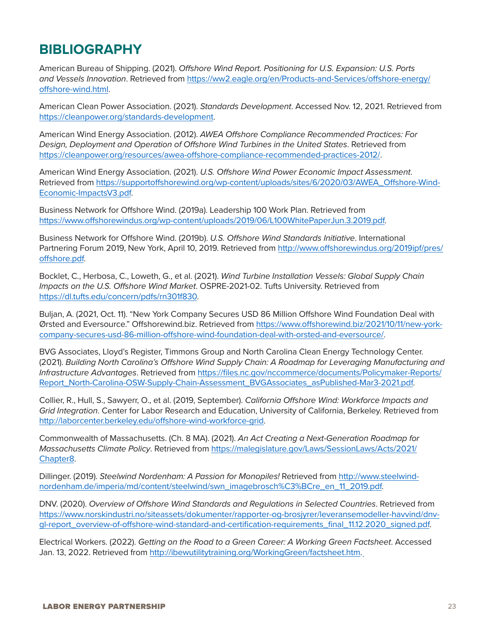### **BIBLIOGRAPHY**

American Bureau of Shipping. (2021). *Offshore Wind Report. Positioning for U.S. Expansion: U.S. Ports and Vessels Innovation*. Retrieved from [https://ww2.eagle.org/en/Products-and-Services/offshore-energy/](https://ww2.eagle.org/en/Products-and-Services/offshore-energy/offshore-wind.html) [offshore-wind.html.](https://ww2.eagle.org/en/Products-and-Services/offshore-energy/offshore-wind.html)

American Clean Power Association. (2021). *Standards Development*. Accessed Nov. 12, 2021. Retrieved from <https://cleanpower.org/standards-development>.

American Wind Energy Association. (2012). *AWEA Offshore Compliance Recommended Practices: For Design, Deployment and Operation of Offshore Wind Turbines in the United States*. Retrieved from <https://cleanpower.org/resources/awea-offshore-compliance-recommended-practices-2012/>.

American Wind Energy Association. (2021). *U.S. Offshore Wind Power Economic Impact Assessment*. Retrieved from [https://supportoffshorewind.org/wp-content/uploads/sites/6/2020/03/AWEA\\_Offshore-Wind-](https://supportoffshorewind.org/wp-content/uploads/sites/6/2020/03/AWEA_Offshore-Wind-Economic-ImpactsV3.pdf)[Economic-ImpactsV3.pdf.](https://supportoffshorewind.org/wp-content/uploads/sites/6/2020/03/AWEA_Offshore-Wind-Economic-ImpactsV3.pdf)

Business Network for Offshore Wind. (2019a). Leadership 100 Work Plan. Retrieved from [https://www.offshorewindus.org/wp-content/uploads/2019/06/L100WhitePaperJun.3.2019.pdf.](https://www.offshorewindus.org/wp-content/uploads/2019/06/L100WhitePaperJun.3.2019.pdf)

Business Network for Offshore Wind. (2019b). *U.S. Offshore Wind Standards Initiative*. International Partnering Forum 2019, New York, April 10, 2019. Retrieved from [http://www.offshorewindus.org/2019ipf/pres/](http://www.offshorewindus.org/2019ipf/pres/offshore.pdf) [offshore.pdf.](http://www.offshorewindus.org/2019ipf/pres/offshore.pdf)

Bocklet, C., Herbosa, C., Loweth, G., et al. (2021). *Wind Turbine Installation Vessels: Global Supply Chain Impacts on the U.S. Offshore Wind Market*. OSPRE-2021-02. Tufts University. Retrieved from [https://dl.tufts.edu/concern/pdfs/rn301f830.](https://dl.tufts.edu/concern/pdfs/rn301f830)

Buljan, A. (2021, Oct. 11). "New York Company Secures USD 86 Million Offshore Wind Foundation Deal with Ørsted and Eversource." Offshorewind.biz. Retrieved from [https://www.offshorewind.biz/2021/10/11/new-york](https://www.offshorewind.biz/2021/10/11/new-york-company-secures-usd-86-million-offshore-wind-foundation-deal-with-orsted-and-eversource/)[company-secures-usd-86-million-offshore-wind-foundation-deal-with-orsted-and-eversource/](https://www.offshorewind.biz/2021/10/11/new-york-company-secures-usd-86-million-offshore-wind-foundation-deal-with-orsted-and-eversource/).

BVG Associates, Lloyd's Register, Timmons Group and North Carolina Clean Energy Technology Center. (2021). *Building North Carolina's Offshore Wind Supply Chain: A Roadmap for Leveraging Manufacturing and Infrastructure Advantages*. Retrieved from [https://files.nc.gov/nccommerce/documents/Policymaker-Reports/](https://files.nc.gov/nccommerce/documents/Policymaker-Reports/Report_North-Carolina-OSW-Supply-Chain-Assessment_BVGAssociates_asPublished-Mar3-2021.pdf) [Report\\_North-Carolina-OSW-Supply-Chain-Assessment\\_BVGAssociates\\_asPublished-Mar3-2021.pdf](https://files.nc.gov/nccommerce/documents/Policymaker-Reports/Report_North-Carolina-OSW-Supply-Chain-Assessment_BVGAssociates_asPublished-Mar3-2021.pdf).

Collier, R., Hull, S., Sawyerr, O., et al. (2019, September). *California Offshore Wind: Workforce Impacts and Grid Integration*. Center for Labor Research and Education, University of California, Berkeley. Retrieved from [http://laborcenter.berkeley.edu/offshore-wind-workforce-grid.](http://laborcenter.berkeley.edu/offshore-wind-workforce-grid)

Commonwealth of Massachusetts. (Ch. 8 MA). (2021). *An Act Creating a Next-Generation Roadmap for Massachusetts Climate Policy*. Retrieved from [https://malegislature.gov/Laws/SessionLaws/Acts/2021/](https://malegislature.gov/Laws/SessionLaws/Acts/2021/Chapter8) [Chapter8.](https://malegislature.gov/Laws/SessionLaws/Acts/2021/Chapter8)

Dillinger. (2019). *Steelwind Nordenham: A Passion for Monopiles!* Retrieved from [http://www.steelwind](http://www.steelwind-nordenham.de/imperia/md/content/steelwind/swn_imagebrosch%C3%BCre_en_11_2019.pdf)[nordenham.de/imperia/md/content/steelwind/swn\\_imagebrosch%C3%BCre\\_en\\_11\\_2019.pdf.](http://www.steelwind-nordenham.de/imperia/md/content/steelwind/swn_imagebrosch%C3%BCre_en_11_2019.pdf)

DNV. (2020). *Overview of Offshore Wind Standards and Regulations in Selected Countries*. Retrieved from [https://www.norskindustri.no/siteassets/dokumenter/rapporter-og-brosjyrer/leveransemodeller-havvind/dnv](https://www.norskindustri.no/siteassets/dokumenter/rapporter-og-brosjyrer/leveransemodeller-havvind/dnv-gl-report_overview-of-offshore-wind-standard-and-certification-requirements_final_11.12.2020_signed.pdf)[gl-report\\_overview-of-offshore-wind-standard-and-certification-requirements\\_final\\_11.12.2020\\_signed.pdf](https://www.norskindustri.no/siteassets/dokumenter/rapporter-og-brosjyrer/leveransemodeller-havvind/dnv-gl-report_overview-of-offshore-wind-standard-and-certification-requirements_final_11.12.2020_signed.pdf).

Electrical Workers. (2022). *Getting on the Road to a Green Career: A Working Green Factsheet*. Accessed Jan. 13, 2022. Retrieved from [http://ibewutilitytraining.org/WorkingGreen/factsheet.htm.](http://ibewutilitytraining.org/WorkingGreen/factsheet.htm)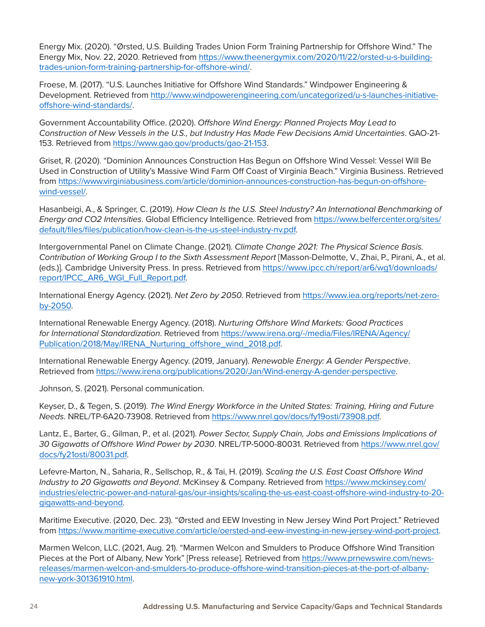Energy Mix. (2020). "Ørsted, U.S. Building Trades Union Form Training Partnership for Offshore Wind." The Energy Mix, Nov. 22, 2020. Retrieved from [https://www.theenergymix.com/2020/11/22/orsted-u-s-building](https://www.theenergymix.com/2020/11/22/orsted-u-s-building-trades-union-form-training-partnership-for-offshore-wind/)[trades-union-form-training-partnership-for-offshore-wind/.](https://www.theenergymix.com/2020/11/22/orsted-u-s-building-trades-union-form-training-partnership-for-offshore-wind/)

Froese, M. (2017). "U.S. Launches Initiative for Offshore Wind Standards." Windpower Engineering & Development. Retrieved from [http://www.windpowerengineering.com/uncategorized/u-s-launches-initiative](http://www.windpowerengineering.com/uncategorized/u-s-launches-initiative-offshore-wind-standards/)[offshore-wind-standards/.](http://www.windpowerengineering.com/uncategorized/u-s-launches-initiative-offshore-wind-standards/)

Government Accountability Office. (2020). *Offshore Wind Energy: Planned Projects May Lead to Construction of New Vessels in the U.S., but Industry Has Made Few Decisions Amid Uncertainties*. GAO-21- 153. Retrieved from https://www.gao.gov/products/gao-21-153.

Griset, R. (2020). "Dominion Announces Construction Has Begun on Offshore Wind Vessel: Vessel Will Be Used in Construction of Utility's Massive Wind Farm Off Coast of Virginia Beach." Virginia Business. Retrieved from [https://www.virginiabusiness.com/article/dominion-announces-construction-has-begun-on-offshore](https://www.virginiabusiness.com/article/dominion-announces-construction-has-begun-on-offshore-wind-vessel/)[wind-vessel/](https://www.virginiabusiness.com/article/dominion-announces-construction-has-begun-on-offshore-wind-vessel/).

Hasanbeigi, A., & Springer, C. (2019). *How Clean Is the U.S. Steel Industry? An International Benchmarking of Energy and CO2 Intensities*. Global Efficiency Intelligence. Retrieved from [https://www.belfercenter.org/sites/](https://www.belfercenter.org/sites/default/files/files/publication/how-clean-is-the-us-steel-industry-nv.pdf) [default/files/files/publication/how-clean-is-the-us-steel-industry-nv.pdf](https://www.belfercenter.org/sites/default/files/files/publication/how-clean-is-the-us-steel-industry-nv.pdf).

Intergovernmental Panel on Climate Change. (2021). *Climate Change 2021: The Physical Science Basis. Contribution of Working Group I to the Sixth Assessment Report* [Masson-Delmotte, V., Zhai, P., Pirani, A., et al. (eds.)]. Cambridge University Press. In press. Retrieved from [https://www.ipcc.ch/report/ar6/wg1/downloads/](https://www.ipcc.ch/report/ar6/wg1/downloads/report/IPCC_AR6_WGI_Full_Report.pdf) [report/IPCC\\_AR6\\_WGI\\_Full\\_Report.pdf](https://www.ipcc.ch/report/ar6/wg1/downloads/report/IPCC_AR6_WGI_Full_Report.pdf).

International Energy Agency. (2021). *Net Zero by 2050*. Retrieved from [https://www.iea.org/reports/net-zero](https://www.iea.org/reports/net-zero-by-2050)[by-2050.](https://www.iea.org/reports/net-zero-by-2050)

International Renewable Energy Agency. (2018). *Nurturing Offshore Wind Markets: Good Practices for International Standardization*. Retrieved from [https://www.irena.org/-/media/Files/IRENA/Agency/](https://www.irena.org/-/media/Files/IRENA/Agency/Publication/2018/May/IRENA_Nurturing_offshore_wind_2018.pdf) [Publication/2018/May/IRENA\\_Nurturing\\_offshore\\_wind\\_2018.pdf.](https://www.irena.org/-/media/Files/IRENA/Agency/Publication/2018/May/IRENA_Nurturing_offshore_wind_2018.pdf)

International Renewable Energy Agency. (2019, January). *Renewable Energy: A Gender Perspective*. Retrieved from [https://www.irena.org/publications/2020/Jan/Wind-energy-A-gender-perspective.](https://www.irena.org/publications/2020/Jan/Wind-energy-A-gender-perspective)

Johnson, S. (2021). Personal communication.

Keyser, D., & Tegen, S. (2019). *The Wind Energy Workforce in the United States: Training, Hiring and Future Needs*. NREL/TP-6A20-73908. Retrieved from [https://www.nrel.gov/docs/fy19osti/73908.pdf.](https://www.nrel.gov/docs/fy19osti/73908.pdf)

Lantz, E., Barter, G., Gilman, P., et al. (2021). *Power Sector, Supply Chain, Jobs and Emissions Implications of 30 Gigawatts of Offshore Wind Power by 2030*. NREL/TP-5000-80031. Retrieved from [https://www.nrel.gov/](https://www.nrel.gov/docs/fy21osti/80031.pdf) [docs/fy21osti/80031.pdf.](https://www.nrel.gov/docs/fy21osti/80031.pdf)

Lefevre-Marton, N., Saharia, R., Sellschop, R., & Tai, H. (2019). *Scaling the U.S. East Coast Offshore Wind Industry to 20 Gigawatts and Beyond*. McKinsey & Company. Retrieved from [https://www.mckinsey.com/](https://www.mckinsey.com/industries/electric-power-and-natural-gas/our-insights/scaling-the-us-east-coast-offshore-wind-industry-to-20-gigawatts-and-beyond) [industries/electric-power-and-natural-gas/our-insights/scaling-the-us-east-coast-offshore-wind-industry-to-20](https://www.mckinsey.com/industries/electric-power-and-natural-gas/our-insights/scaling-the-us-east-coast-offshore-wind-industry-to-20-gigawatts-and-beyond) [gigawatts-and-beyond](https://www.mckinsey.com/industries/electric-power-and-natural-gas/our-insights/scaling-the-us-east-coast-offshore-wind-industry-to-20-gigawatts-and-beyond).

Maritime Executive. (2020, Dec. 23). "Ørsted and EEW Investing in New Jersey Wind Port Project." Retrieved from [https://www.maritime-executive.com/article/oersted-and-eew-investing-in-new-jersey-wind-port-project.](https://www.maritime-executive.com/article/oersted-and-eew-investing-in-new-jersey-wind-port-project)

Marmen Welcon, LLC. (2021, Aug. 21). "Marmen Welcon and Smulders to Produce Offshore Wind Transition Pieces at the Port of Albany, New York" [Press release]. Retrieved from [https://www.prnewswire.com/news](https://www.prnewswire.com/news-releases/marmen-welcon-and-smulders-to-produce-offshore-wind-transition-pieces-at-the-port-of-albany-new-york-301361910.html)[releases/marmen-welcon-and-smulders-to-produce-offshore-wind-transition-pieces-at-the-port-of-albany](https://www.prnewswire.com/news-releases/marmen-welcon-and-smulders-to-produce-offshore-wind-transition-pieces-at-the-port-of-albany-new-york-301361910.html)[new-york-301361910.html](https://www.prnewswire.com/news-releases/marmen-welcon-and-smulders-to-produce-offshore-wind-transition-pieces-at-the-port-of-albany-new-york-301361910.html).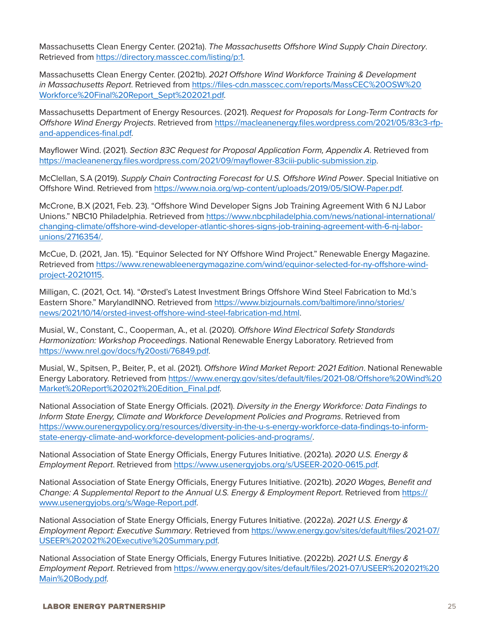Massachusetts Clean Energy Center. (2021a). *The Massachusetts Offshore Wind Supply Chain Directory*. Retrieved from [https://directory.masscec.com/listing/p:1.](https://directory.masscec.com/listing/p:1)

Massachusetts Clean Energy Center. (2021b). *2021 Offshore Wind Workforce Training & Development in Massachusetts Report*. Retrieved from [https://files-cdn.masscec.com/reports/MassCEC%20OSW%20](https://files-cdn.masscec.com/reports/MassCEC OSW Workforce Final Report_Sept 2021.pdf) [Workforce%20Final%20Report\\_Sept%202021.pdf.](https://files-cdn.masscec.com/reports/MassCEC OSW Workforce Final Report_Sept 2021.pdf)

Massachusetts Department of Energy Resources. (2021). *Request for Proposals for Long-Term Contracts for Offshore Wind Energy Projects*. Retrieved from [https://macleanenergy.files.wordpress.com/2021/05/83c3-rfp](https://macleanenergy.files.wordpress.com/2021/05/83c3-rfp-and-appendices-final.pdf)[and-appendices-final.pdf.](https://macleanenergy.files.wordpress.com/2021/05/83c3-rfp-and-appendices-final.pdf)

Mayflower Wind. (2021). *Section 83C Request for Proposal Application Form, Appendix A*. Retrieved from <https://macleanenergy.files.wordpress.com/2021/09/mayflower-83ciii-public-submission.zip>.

McClellan, S.A (2019). *Supply Chain Contracting Forecast for U.S. Offshore Wind Power*. Special Initiative on Offshore Wind. Retrieved from [https://www.noia.org/wp-content/uploads/2019/05/SIOW-Paper.pdf.](https://www.noia.org/wp-content/uploads/2019/05/SIOW-Paper.pdf)

McCrone, B.X (2021, Feb. 23). "Offshore Wind Developer Signs Job Training Agreement With 6 NJ Labor Unions." NBC10 Philadelphia. Retrieved from [https://www.nbcphiladelphia.com/news/national-international/](https://www.nbcphiladelphia.com/news/national-international/changing-climate/offshore-wind-developer-atlantic-shores-signs-job-training-agreement-with-6-nj-labor-unions/2716354/) [changing-climate/offshore-wind-developer-atlantic-shores-signs-job-training-agreement-with-6-nj-labor](https://www.nbcphiladelphia.com/news/national-international/changing-climate/offshore-wind-developer-atlantic-shores-signs-job-training-agreement-with-6-nj-labor-unions/2716354/)[unions/2716354/.](https://www.nbcphiladelphia.com/news/national-international/changing-climate/offshore-wind-developer-atlantic-shores-signs-job-training-agreement-with-6-nj-labor-unions/2716354/)

McCue, D. (2021, Jan. 15). "Equinor Selected for NY Offshore Wind Project." Renewable Energy Magazine. Retrieved from [https://www.renewableenergymagazine.com/wind/equinor-selected-for-ny-offshore-wind](https://www.renewableenergymagazine.com/wind/equinor-selected-for-ny-offshore-wind-project-20210115)[project-20210115.](https://www.renewableenergymagazine.com/wind/equinor-selected-for-ny-offshore-wind-project-20210115)

Milligan, C. (2021, Oct. 14). "Ørsted's Latest Investment Brings Offshore Wind Steel Fabrication to Md.'s Eastern Shore." MarylandINNO. Retrieved from [https://www.bizjournals.com/baltimore/inno/stories/](https://www.bizjournals.com/baltimore/inno/stories/news/2021/10/14/orsted-invest-offshore-wind-steel-fabrication-md.html) [news/2021/10/14/orsted-invest-offshore-wind-steel-fabrication-md.html](https://www.bizjournals.com/baltimore/inno/stories/news/2021/10/14/orsted-invest-offshore-wind-steel-fabrication-md.html).

Musial, W., Constant, C., Cooperman, A., et al. (2020). *Offshore Wind Electrical Safety Standards Harmonization: Workshop Proceedings*. National Renewable Energy Laboratory. Retrieved from <https://www.nrel.gov/docs/fy20osti/76849.pdf>.

Musial, W., Spitsen, P., Beiter, P., et al. (2021). *Offshore Wind Market Report: 2021 Edition*. National Renewable Energy Laboratory. Retrieved from [https://www.energy.gov/sites/default/files/2021-08/Offshore%20Wind%20](https://www.energy.gov/sites/default/files/2021-08/Offshore Wind Market Report 2021 Edition_Final.pdf) [Market%20Report%202021%20Edition\\_Final.pdf](https://www.energy.gov/sites/default/files/2021-08/Offshore Wind Market Report 2021 Edition_Final.pdf).

National Association of State Energy Officials. (2021). *Diversity in the Energy Workforce: Data Findings to Inform State Energy, Climate and Workforce Development Policies and Programs*. Retrieved from [https://www.ourenergypolicy.org/resources/diversity-in-the-u-s-energy-workforce-data-findings-to-inform](https://www.ourenergypolicy.org/resources/diversity-in-the-u-s-energy-workforce-data-findings-to-inform-state-energy-climate-and-workforce-development-policies-and-programs/)[state-energy-climate-and-workforce-development-policies-and-programs/](https://www.ourenergypolicy.org/resources/diversity-in-the-u-s-energy-workforce-data-findings-to-inform-state-energy-climate-and-workforce-development-policies-and-programs/).

National Association of State Energy Officials, Energy Futures Initiative. (2021a). *2020 U.S. Energy & Employment Report*. Retrieved from <https://www.usenergyjobs.org/s/USEER-2020-0615.pdf>.

National Association of State Energy Officials, Energy Futures Initiative. (2021b). *2020 Wages, Benefit and Change: A Supplemental Report to the Annual U.S. Energy & Employment Report*. Retrieved from [https://](https://www.usenergyjobs.org/s/Wage-Report.pdf) [www.usenergyjobs.org/s/Wage-Report.pdf.](https://www.usenergyjobs.org/s/Wage-Report.pdf)

National Association of State Energy Officials, Energy Futures Initiative. (2022a). *2021 U.S. Energy & Employment Report: Executive Summary*. Retrieved from [https://www.energy.gov/sites/default/files/2021-07/](https://www.energy.gov/sites/default/files/2021-07/USEER 2021 Executive Summary.pdf) [USEER%202021%20Executive%20Summary.pdf](https://www.energy.gov/sites/default/files/2021-07/USEER 2021 Executive Summary.pdf).

National Association of State Energy Officials, Energy Futures Initiative. (2022b). *2021 U.S. Energy & Employment Report*. Retrieved from [https://www.energy.gov/sites/default/files/2021-07/USEER%202021%20](https://www.energy.gov/sites/default/files/2021-07/USEER 2021 Main Body.pdf) [Main%20Body.pdf](https://www.energy.gov/sites/default/files/2021-07/USEER 2021 Main Body.pdf).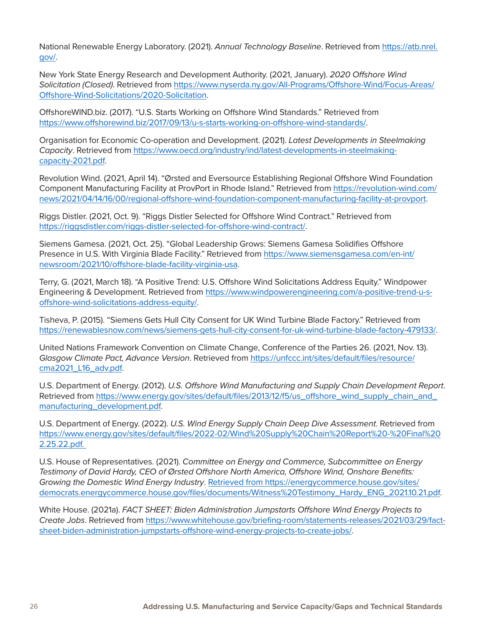National Renewable Energy Laboratory. (2021). *Annual Technology Baseline*. Retrieved from [https://atb.nrel.](https://atb.nrel.gov/) [gov/](https://atb.nrel.gov/).

New York State Energy Research and Development Authority. (2021, January). *2020 Offshore Wind Solicitation (Closed)*. Retrieved from [https://www.nyserda.ny.gov/All-Programs/Offshore-Wind/Focus-Areas/](https://www.nyserda.ny.gov/All-Programs/Offshore-Wind/Focus-Areas/Offshore-Wind-Solicitations/2020-Solicitation) [Offshore-Wind-Solicitations/2020-Solicitation.](https://www.nyserda.ny.gov/All-Programs/Offshore-Wind/Focus-Areas/Offshore-Wind-Solicitations/2020-Solicitation)

OffshoreWIND.biz. (2017). "U.S. Starts Working on Offshore Wind Standards." Retrieved from <https://www.offshorewind.biz/2017/09/13/u-s-starts-working-on-offshore-wind-standards/>.

Organisation for Economic Co-operation and Development. (2021). *Latest Developments in Steelmaking Capacity*. Retrieved from [https://www.oecd.org/industry/ind/latest-developments-in-steelmaking](https://www.oecd.org/industry/ind/latest-developments-in-steelmaking-capacity-2021.pdf)[capacity-2021.pdf](https://www.oecd.org/industry/ind/latest-developments-in-steelmaking-capacity-2021.pdf).

Revolution Wind. (2021, April 14). "Ørsted and Eversource Establishing Regional Offshore Wind Foundation Component Manufacturing Facility at ProvPort in Rhode Island." Retrieved from [https://revolution-wind.com/](https://revolution-wind.com/news/2021/04/14/16/00/regional-offshore-wind-foundation-component-manufacturing-facility-at-provport) [news/2021/04/14/16/00/regional-offshore-wind-foundation-component-manufacturing-facility-at-provport.](https://revolution-wind.com/news/2021/04/14/16/00/regional-offshore-wind-foundation-component-manufacturing-facility-at-provport)

Riggs Distler. (2021, Oct. 9). "Riggs Distler Selected for Offshore Wind Contract." Retrieved from [https://riggsdistler.com/riggs-distler-selected-for-offshore-wind-contract/.](https://riggsdistler.com/riggs-distler-selected-for-offshore-wind-contract/)

Siemens Gamesa. (2021, Oct. 25). "Global Leadership Grows: Siemens Gamesa Solidifies Offshore Presence in U.S. With Virginia Blade Facility." Retrieved from [https://www.siemensgamesa.com/en-int/](https://www.siemensgamesa.com/en-int/newsroom/2021/10/offshore-blade-facility-virginia-usa) [newsroom/2021/10/offshore-blade-facility-virginia-usa](https://www.siemensgamesa.com/en-int/newsroom/2021/10/offshore-blade-facility-virginia-usa).

Terry, G. (2021, March 18). "A Positive Trend: U.S. Offshore Wind Solicitations Address Equity." Windpower Engineering & Development. Retrieved from [https://www.windpowerengineering.com/a-positive-trend-u-s](https://www.windpowerengineering.com/a-positive-trend-u-s-offshore-wind-solicitations-address-equity/)[offshore-wind-solicitations-address-equity/.](https://www.windpowerengineering.com/a-positive-trend-u-s-offshore-wind-solicitations-address-equity/)

Tisheva, P. (2015). "Siemens Gets Hull City Consent for UK Wind Turbine Blade Factory." Retrieved from <https://renewablesnow.com/news/siemens-gets-hull-city-consent-for-uk-wind-turbine-blade-factory-479133/>.

United Nations Framework Convention on Climate Change, Conference of the Parties 26. (2021, Nov. 13). *Glasgow Climate Pact, Advance Version*. Retrieved from [https://unfccc.int/sites/default/files/resource/](https://unfccc.int/sites/default/files/resource/cma2021_L16_adv.pdf) [cma2021\\_L16\\_adv.pdf.](https://unfccc.int/sites/default/files/resource/cma2021_L16_adv.pdf)

U.S. Department of Energy. (2012). *U.S. Offshore Wind Manufacturing and Supply Chain Development Report*. Retrieved from [https://www.energy.gov/sites/default/files/2013/12/f5/us\\_offshore\\_wind\\_supply\\_chain\\_and\\_](https://www.energy.gov/sites/default/files/2013/12/f5/us_offshore_wind_supply_chain_and_manufacturing_development.pdf) [manufacturing\\_development.pdf.](https://www.energy.gov/sites/default/files/2013/12/f5/us_offshore_wind_supply_chain_and_manufacturing_development.pdf)

U.S. Department of Energy. (2022). *U.S. Wind Energy Supply Chain Deep Dive Assessment*. Retrieved from https://www.energy.gov/sites/default/files/2022-02/Wind%20Supply%20Chain%20Report%20-%20Final%20 2.25.22.pdf.

U.S. House of Representatives. (2021). *Committee on Energy and Commerce, Subcommittee on Energy Testimony of David Hardy, CEO of Ørsted Offshore North America, Offshore Wind, Onshore Benefits: Growing the Domestic Wind Energy Industry*. Retrieved from [https://energycommerce.house.gov/sites/](https://energycommerce.house.gov/sites/democrats.energycommerce.house.gov/files/documents/Witness Testimony_Hardy_ENG_2021.10.21.pdf) [democrats.energycommerce.house.gov/files/documents/Witness%20Testimony\\_Hardy\\_ENG\\_2021.10.21.pdf.](https://energycommerce.house.gov/sites/democrats.energycommerce.house.gov/files/documents/Witness Testimony_Hardy_ENG_2021.10.21.pdf)

White House. (2021a). *FACT SHEET: Biden Administration Jumpstarts Offshore Wind Energy Projects to Create Jobs*. Retrieved from [https://www.whitehouse.gov/briefing-room/statements-releases/2021/03/29/fact](https://www.whitehouse.gov/briefing-room/statements-releases/2021/03/29/fact-sheet-biden-administration-jumpstarts-offshore-wind-energy-projects-to-create-jobs/)[sheet-biden-administration-jumpstarts-offshore-wind-energy-projects-to-create-jobs/](https://www.whitehouse.gov/briefing-room/statements-releases/2021/03/29/fact-sheet-biden-administration-jumpstarts-offshore-wind-energy-projects-to-create-jobs/).